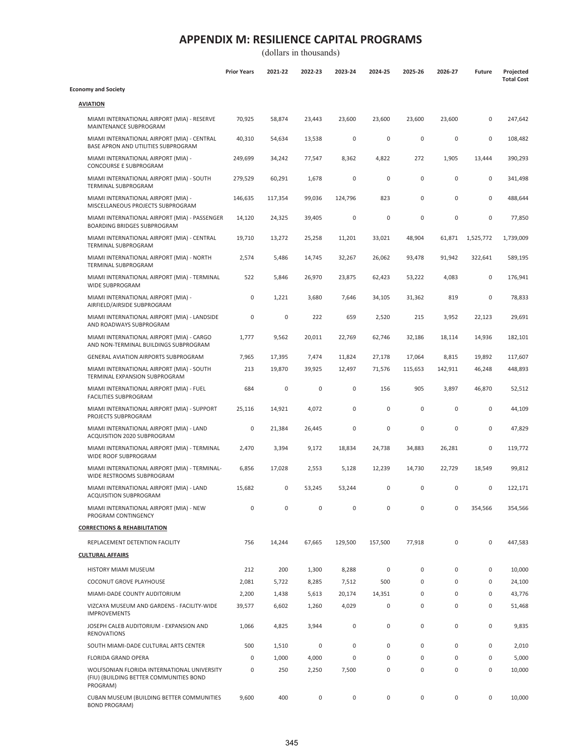|                                                                                                    | <b>Prior Years</b>  | 2021-22 | 2022-23 | 2023-24 | 2024-25     | 2025-26 | 2026-27   | <b>Future</b> | Projected<br><b>Total Cost</b> |
|----------------------------------------------------------------------------------------------------|---------------------|---------|---------|---------|-------------|---------|-----------|---------------|--------------------------------|
| <b>Economy and Society</b>                                                                         |                     |         |         |         |             |         |           |               |                                |
| <b>AVIATION</b>                                                                                    |                     |         |         |         |             |         |           |               |                                |
| MIAMI INTERNATIONAL AIRPORT (MIA) - RESERVE<br>MAINTENANCE SUBPROGRAM                              | 70,925              | 58,874  | 23,443  | 23,600  | 23,600      | 23,600  | 23,600    | 0             | 247,642                        |
| MIAMI INTERNATIONAL AIRPORT (MIA) - CENTRAL<br>BASE APRON AND UTILITIES SUBPROGRAM                 | 40,310              | 54,634  | 13,538  | 0       | 0           | 0       | 0         | 0             | 108,482                        |
| MIAMI INTERNATIONAL AIRPORT (MIA) -<br>CONCOURSE E SUBPROGRAM                                      | 249,699             | 34,242  | 77,547  | 8,362   | 4,822       | 272     | 1,905     | 13,444        | 390,293                        |
| MIAMI INTERNATIONAL AIRPORT (MIA) - SOUTH<br>TERMINAL SUBPROGRAM                                   | 279,529             | 60,291  | 1,678   | $\bf 0$ | $\mathbf 0$ | 0       | $\pmb{0}$ | 0             | 341,498                        |
| MIAMI INTERNATIONAL AIRPORT (MIA) -<br>MISCELLANEOUS PROJECTS SUBPROGRAM                           | 146,635             | 117,354 | 99,036  | 124,796 | 823         | 0       | 0         | 0             | 488,644                        |
| MIAMI INTERNATIONAL AIRPORT (MIA) - PASSENGER<br><b>BOARDING BRIDGES SUBPROGRAM</b>                | 14,120              | 24,325  | 39,405  | 0       | $\mathbf 0$ | 0       | 0         | 0             | 77,850                         |
| MIAMI INTERNATIONAL AIRPORT (MIA) - CENTRAL<br>TERMINAL SUBPROGRAM                                 | 19,710              | 13,272  | 25,258  | 11,201  | 33,021      | 48,904  | 61,871    | 1,525,772     | 1,739,009                      |
| MIAMI INTERNATIONAL AIRPORT (MIA) - NORTH<br>TERMINAL SUBPROGRAM                                   | 2,574               | 5,486   | 14,745  | 32,267  | 26,062      | 93,478  | 91,942    | 322,641       | 589,195                        |
| MIAMI INTERNATIONAL AIRPORT (MIA) - TERMINAL<br><b>WIDE SUBPROGRAM</b>                             | 522                 | 5,846   | 26,970  | 23,875  | 62,423      | 53,222  | 4,083     | 0             | 176,941                        |
| MIAMI INTERNATIONAL AIRPORT (MIA) -<br>AIRFIELD/AIRSIDE SUBPROGRAM                                 | $\mathsf{O}\xspace$ | 1,221   | 3,680   | 7,646   | 34,105      | 31,362  | 819       | 0             | 78,833                         |
| MIAMI INTERNATIONAL AIRPORT (MIA) - LANDSIDE<br>AND ROADWAYS SUBPROGRAM                            | $\mathsf{O}\xspace$ | 0       | 222     | 659     | 2,520       | 215     | 3,952     | 22,123        | 29,691                         |
| MIAMI INTERNATIONAL AIRPORT (MIA) - CARGO<br>AND NON-TERMINAL BUILDINGS SUBPROGRAM                 | 1,777               | 9,562   | 20,011  | 22,769  | 62,746      | 32,186  | 18,114    | 14,936        | 182,101                        |
| GENERAL AVIATION AIRPORTS SUBPROGRAM                                                               | 7,965               | 17,395  | 7,474   | 11,824  | 27,178      | 17,064  | 8,815     | 19,892        | 117,607                        |
| MIAMI INTERNATIONAL AIRPORT (MIA) - SOUTH<br>TERMINAL EXPANSION SUBPROGRAM                         | 213                 | 19,870  | 39,925  | 12,497  | 71,576      | 115,653 | 142,911   | 46,248        | 448,893                        |
| MIAMI INTERNATIONAL AIRPORT (MIA) - FUEL<br><b>FACILITIES SUBPROGRAM</b>                           | 684                 | 0       | 0       | 0       | 156         | 905     | 3,897     | 46,870        | 52,512                         |
| MIAMI INTERNATIONAL AIRPORT (MIA) - SUPPORT<br>PROJECTS SUBPROGRAM                                 | 25,116              | 14,921  | 4,072   | 0       | $\mathbf 0$ | 0       | $\pmb{0}$ | 0             | 44,109                         |
| MIAMI INTERNATIONAL AIRPORT (MIA) - LAND<br>ACQUISITION 2020 SUBPROGRAM                            | $\mathsf{O}\xspace$ | 21,384  | 26,445  | 0       | $\mathbf 0$ | 0       | 0         | 0             | 47,829                         |
| MIAMI INTERNATIONAL AIRPORT (MIA) - TERMINAL<br>WIDE ROOF SUBPROGRAM                               | 2,470               | 3,394   | 9,172   | 18,834  | 24,738      | 34,883  | 26,281    | 0             | 119,772                        |
| MIAMI INTERNATIONAL AIRPORT (MIA) - TERMINAL-<br>WIDE RESTROOMS SUBPROGRAM                         | 6,856               | 17,028  | 2,553   | 5,128   | 12,239      | 14,730  | 22,729    | 18,549        | 99,812                         |
| MIAMI INTERNATIONAL AIRPORT (MIA) - LAND<br>ACQUISITION SUBPROGRAM                                 | 15,682              | 0       | 53,245  | 53,244  | 0           | 0       | 0         | 0             | 122,171                        |
| MIAMI INTERNATIONAL AIRPORT (MIA) - NEW<br>PROGRAM CONTINGENCY                                     | 0                   | 0       | 0       | 0       | 0           | 0       | 0         | 354,566       | 354,566                        |
| <b>CORRECTIONS &amp; REHABILITATION</b>                                                            |                     |         |         |         |             |         |           |               |                                |
| REPLACEMENT DETENTION FACILITY                                                                     | 756                 | 14,244  | 67,665  | 129,500 | 157,500     | 77,918  | 0         | 0             | 447,583                        |
| <b>CULTURAL AFFAIRS</b>                                                                            |                     |         |         |         |             |         |           |               |                                |
| HISTORY MIAMI MUSEUM                                                                               | 212                 | 200     | 1,300   | 8,288   | 0           | 0       | 0         | 0             | 10,000                         |
| COCONUT GROVE PLAYHOUSE                                                                            | 2,081               | 5,722   | 8,285   | 7,512   | 500         | 0       | 0         | 0             | 24,100                         |
| MIAMI-DADE COUNTY AUDITORIUM                                                                       | 2,200               | 1,438   | 5,613   | 20,174  | 14,351      | 0       | 0         | 0             | 43,776                         |
| VIZCAYA MUSEUM AND GARDENS - FACILITY-WIDE<br><b>IMPROVEMENTS</b>                                  | 39,577              | 6,602   | 1,260   | 4,029   | 0           | 0       | 0         | 0             | 51,468                         |
| JOSEPH CALEB AUDITORIUM - EXPANSION AND<br><b>RENOVATIONS</b>                                      | 1,066               | 4,825   | 3,944   | 0       | $\pmb{0}$   | 0       | $\pmb{0}$ | 0             | 9,835                          |
| SOUTH MIAMI-DADE CULTURAL ARTS CENTER                                                              | 500                 | 1,510   | 0       | 0       | 0           | 0       | 0         | 0             | 2,010                          |
| FLORIDA GRAND OPERA                                                                                | 0                   | 1,000   | 4,000   | 0       | $\pmb{0}$   | 0       | 0         | 0             | 5,000                          |
| WOLFSONIAN FLORIDA INTERNATIONAL UNIVERSITY<br>(FIU) (BUILDING BETTER COMMUNITIES BOND<br>PROGRAM) | 0                   | 250     | 2,250   | 7,500   | 0           | 0       | 0         | 0             | 10,000                         |
| CUBAN MUSEUM (BUILDING BETTER COMMUNITIES<br><b>BOND PROGRAM)</b>                                  | 9,600               | 400     | 0       | 0       | $\pmb{0}$   | 0       | $\pmb{0}$ | 0             | 10,000                         |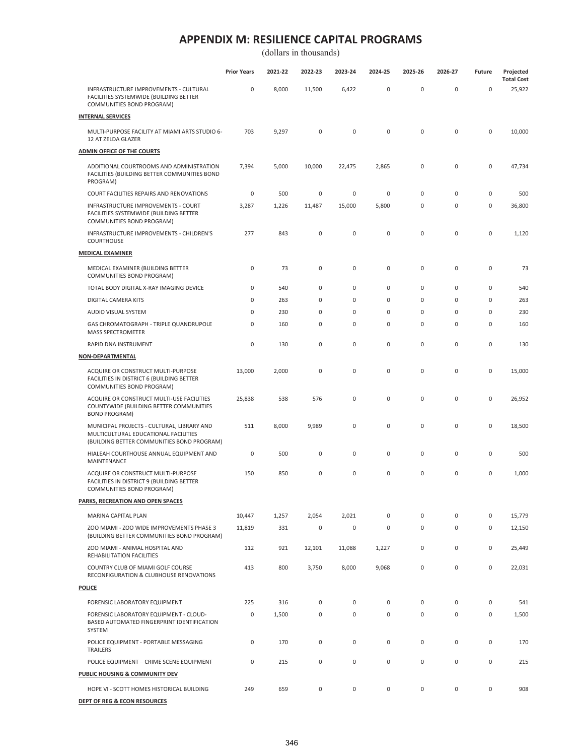|                                                                                                                                  | <b>Prior Years</b> | 2021-22 | 2022-23     | 2023-24     | 2024-25     | 2025-26     | 2026-27     | Future              | Projected                   |
|----------------------------------------------------------------------------------------------------------------------------------|--------------------|---------|-------------|-------------|-------------|-------------|-------------|---------------------|-----------------------------|
| INFRASTRUCTURE IMPROVEMENTS - CULTURAL<br>FACILITIES SYSTEMWIDE (BUILDING BETTER<br>COMMUNITIES BOND PROGRAM)                    | 0                  | 8,000   | 11,500      | 6,422       | 0           | $\pmb{0}$   | $\pmb{0}$   | $\mathsf{O}\xspace$ | <b>Total Cost</b><br>25,922 |
| <b>INTERNAL SERVICES</b>                                                                                                         |                    |         |             |             |             |             |             |                     |                             |
| MULTI-PURPOSE FACILITY AT MIAMI ARTS STUDIO 6-<br>12 AT ZELDA GLAZER                                                             | 703                | 9,297   | 0           | 0           | $\pmb{0}$   | 0           | $\mathbf 0$ | $\mathsf{O}\xspace$ | 10,000                      |
| <b>ADMIN OFFICE OF THE COURTS</b>                                                                                                |                    |         |             |             |             |             |             |                     |                             |
| ADDITIONAL COURTROOMS AND ADMINISTRATION<br>FACILITIES (BUILDING BETTER COMMUNITIES BOND<br>PROGRAM)                             | 7,394              | 5,000   | 10,000      | 22,475      | 2,865       | $\pmb{0}$   | $\pmb{0}$   | $\mathsf{O}\xspace$ | 47,734                      |
| COURT FACILITIES REPAIRS AND RENOVATIONS                                                                                         | 0                  | 500     | $\bf 0$     | $\bf 0$     | $\pmb{0}$   | $\pmb{0}$   | $\pmb{0}$   | $\mathsf{O}\xspace$ | 500                         |
| INFRASTRUCTURE IMPROVEMENTS - COURT<br>FACILITIES SYSTEMWIDE (BUILDING BETTER<br>COMMUNITIES BOND PROGRAM)                       | 3,287              | 1,226   | 11,487      | 15,000      | 5,800       | 0           | 0           | 0                   | 36,800                      |
| INFRASTRUCTURE IMPROVEMENTS - CHILDREN'S<br>COURTHOUSE                                                                           | 277                | 843     | $\pmb{0}$   | 0           | $\pmb{0}$   | $\mathbf 0$ | $\pmb{0}$   | $\mathsf{O}\xspace$ | 1,120                       |
| <b>MEDICAL EXAMINER</b>                                                                                                          |                    |         |             |             |             |             |             |                     |                             |
| MEDICAL EXAMINER (BUILDING BETTER<br>COMMUNITIES BOND PROGRAM)                                                                   | 0                  | 73      | $\mathsf 0$ | 0           | 0           | $\mathbf 0$ | $\pmb{0}$   | $\mathsf{O}\xspace$ | 73                          |
| TOTAL BODY DIGITAL X-RAY IMAGING DEVICE                                                                                          | 0                  | 540     | 0           | 0           | 0           | 0           | 0           | 0                   | 540                         |
| DIGITAL CAMERA KITS                                                                                                              | 0                  | 263     | 0           | 0           | 0           | 0           | $\pmb{0}$   | 0                   | 263                         |
| AUDIO VISUAL SYSTEM                                                                                                              | 0                  | 230     | 0           | 0           | 0           | 0           | 0           | 0                   | 230                         |
| GAS CHROMATOGRAPH - TRIPLE QUANDRUPOLE<br><b>MASS SPECTROMETER</b>                                                               | 0                  | 160     | 0           | 0           | 0           | 0           | 0           | 0                   | 160                         |
| RAPID DNA INSTRUMENT                                                                                                             | 0                  | 130     | 0           | $\mathbf 0$ | $\mathsf 0$ | 0           | 0           | 0                   | 130                         |
| <b>NON-DEPARTMENTAL</b>                                                                                                          |                    |         |             |             |             |             |             |                     |                             |
| ACQUIRE OR CONSTRUCT MULTI-PURPOSE<br>FACILITIES IN DISTRICT 6 (BUILDING BETTER<br>COMMUNITIES BOND PROGRAM)                     | 13,000             | 2,000   | $\bf 0$     | 0           | 0           | $\mathbf 0$ | $\pmb{0}$   | $\mathsf{O}\xspace$ | 15,000                      |
| ACQUIRE OR CONSTRUCT MULTI-USE FACILITIES<br>COUNTYWIDE (BUILDING BETTER COMMUNITIES<br><b>BOND PROGRAM)</b>                     | 25,838             | 538     | 576         | 0           | 0           | 0           | $\pmb{0}$   | 0                   | 26,952                      |
| MUNICIPAL PROJECTS - CULTURAL, LIBRARY AND<br>MULTICULTURAL EDUCATIONAL FACILITIES<br>(BUILDING BETTER COMMUNITIES BOND PROGRAM) | 511                | 8,000   | 9,989       | 0           | 0           | 0           | 0           | $\mathsf{O}\xspace$ | 18,500                      |
| HIALEAH COURTHOUSE ANNUAL EQUIPMENT AND<br>MAINTENANCE                                                                           | 0                  | 500     | 0           | 0           | 0           | 0           | 0           | 0                   | 500                         |
| ACQUIRE OR CONSTRUCT MULTI-PURPOSE<br>FACILITIES IN DISTRICT 9 (BUILDING BETTER<br>COMMUNITIES BOND PROGRAM)                     | 150                | 850     | 0           | 0           | 0           | 0           | 0           | 0                   | 1,000                       |
| <b>PARKS, RECREATION AND OPEN SPACES</b>                                                                                         |                    |         |             |             |             |             |             |                     |                             |
| MARINA CAPITAL PLAN                                                                                                              | 10,447             | 1,257   | 2,054       | 2,021       | 0           | $\pmb{0}$   | 0           | 0                   | 15,779                      |
| ZOO MIAMI - ZOO WIDE IMPROVEMENTS PHASE 3<br>(BUILDING BETTER COMMUNITIES BOND PROGRAM)                                          | 11,819             | 331     | 0           | 0           | 0           | 0           | 0           | 0                   | 12,150                      |
| ZOO MIAMI - ANIMAL HOSPITAL AND<br>REHABILITATION FACILITIES                                                                     | 112                | 921     | 12,101      | 11,088      | 1,227       | 0           | 0           | 0                   | 25,449                      |
| COUNTRY CLUB OF MIAMI GOLF COURSE<br>RECONFIGURATION & CLUBHOUSE RENOVATIONS                                                     | 413                | 800     | 3,750       | 8,000       | 9,068       | 0           | 0           | 0                   | 22,031                      |
| <b>POLICE</b>                                                                                                                    |                    |         |             |             |             |             |             |                     |                             |
| FORENSIC LABORATORY EQUIPMENT                                                                                                    | 225                | 316     | 0           | 0           | 0           | 0           | 0           | 0                   | 541                         |
| FORENSIC LABORATORY EQUIPMENT - CLOUD-<br>BASED AUTOMATED FINGERPRINT IDENTIFICATION<br>SYSTEM                                   | 0                  | 1,500   | $\mathsf 0$ | 0           | 0           | $\pmb{0}$   | $\mathsf 0$ | 0                   | 1,500                       |
| POLICE EQUIPMENT - PORTABLE MESSAGING<br>TRAILERS                                                                                | 0                  | 170     | 0           | 0           | 0           | $\pmb{0}$   | 0           | 0                   | 170                         |
| POLICE EQUIPMENT - CRIME SCENE EQUIPMENT                                                                                         | 0                  | 215     | $\mathsf 0$ | 0           | 0           | 0           | 0           | 0                   | 215                         |
| PUBLIC HOUSING & COMMUNITY DEV                                                                                                   |                    |         |             |             |             |             |             |                     |                             |
| HOPE VI - SCOTT HOMES HISTORICAL BUILDING                                                                                        | 249                | 659     | 0           | 0           | 0           | 0           | 0           | 0                   | 908                         |
| DEPT OF REG & ECON RESOURCES                                                                                                     |                    |         |             |             |             |             |             |                     |                             |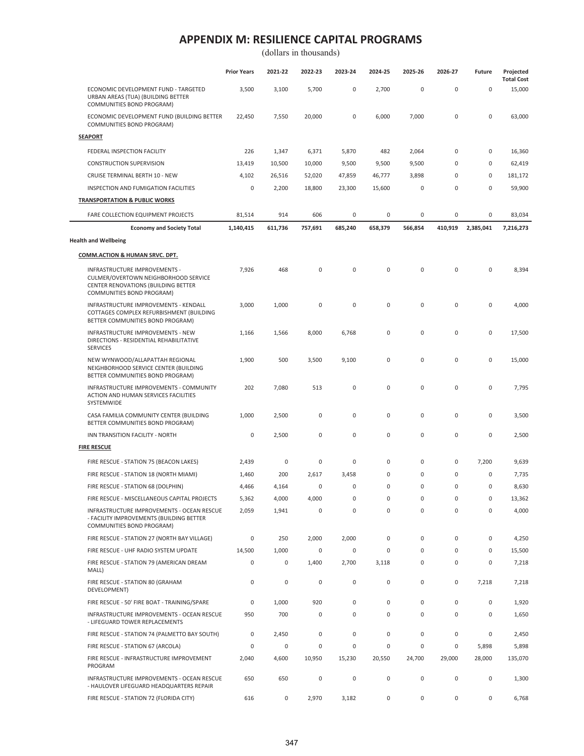(dollars in thousands)

|                                                                                                                                           | <b>Prior Years</b> | 2021-22     | 2022-23     | 2023-24     | 2024-25     | 2025-26     | 2026-27     | Future      | Projected<br><b>Total Cost</b> |
|-------------------------------------------------------------------------------------------------------------------------------------------|--------------------|-------------|-------------|-------------|-------------|-------------|-------------|-------------|--------------------------------|
| ECONOMIC DEVELOPMENT FUND - TARGETED<br>URBAN AREAS (TUA) (BUILDING BETTER<br>COMMUNITIES BOND PROGRAM)                                   | 3,500              | 3,100       | 5,700       | $\mathsf 0$ | 2,700       | $\mathsf 0$ | $\pmb{0}$   | $\mathsf 0$ | 15,000                         |
| ECONOMIC DEVELOPMENT FUND (BUILDING BETTER<br>COMMUNITIES BOND PROGRAM)                                                                   | 22,450             | 7,550       | 20,000      | $\mathsf 0$ | 6,000       | 7,000       | $\pmb{0}$   | $\mathsf 0$ | 63,000                         |
| <b>SEAPORT</b>                                                                                                                            |                    |             |             |             |             |             |             |             |                                |
| FEDERAL INSPECTION FACILITY                                                                                                               | 226                | 1,347       | 6,371       | 5,870       | 482         | 2,064       | 0           | 0           | 16,360                         |
| <b>CONSTRUCTION SUPERVISION</b>                                                                                                           | 13,419             | 10,500      | 10,000      | 9,500       | 9,500       | 9,500       | 0           | 0           | 62,419                         |
| CRUISE TERMINAL BERTH 10 - NEW                                                                                                            | 4,102              | 26,516      | 52,020      | 47,859      | 46,777      | 3,898       | 0           | 0           | 181,172                        |
| INSPECTION AND FUMIGATION FACILITIES                                                                                                      | 0                  | 2,200       | 18,800      | 23,300      | 15,600      | $\mathsf 0$ | $\mathbf 0$ | $\mathsf 0$ | 59,900                         |
| <b>TRANSPORTATION &amp; PUBLIC WORKS</b>                                                                                                  |                    |             |             |             |             |             |             |             |                                |
| FARE COLLECTION EQUIPMENT PROJECTS                                                                                                        | 81,514             | 914         | 606         | 0           | 0           | 0           | 0           | 0           | 83,034                         |
| <b>Economy and Society Total</b>                                                                                                          | 1,140,415          | 611,736     | 757,691     | 685,240     | 658,379     | 566,854     | 410,919     | 2,385,041   | 7,216,273                      |
| <b>Health and Wellbeing</b>                                                                                                               |                    |             |             |             |             |             |             |             |                                |
| <b>COMM.ACTION &amp; HUMAN SRVC. DPT.</b>                                                                                                 |                    |             |             |             |             |             |             |             |                                |
| INFRASTRUCTURE IMPROVEMENTS -<br>CULMER/OVERTOWN NEIGHBORHOOD SERVICE<br>CENTER RENOVATIONS (BUILDING BETTER<br>COMMUNITIES BOND PROGRAM) | 7,926              | 468         | $\bf 0$     | $\mathsf 0$ | $\pmb{0}$   | $\mathsf 0$ | $\pmb{0}$   | $\mathsf 0$ | 8,394                          |
| INFRASTRUCTURE IMPROVEMENTS - KENDALL<br>COTTAGES COMPLEX REFURBISHMENT (BUILDING<br>BETTER COMMUNITIES BOND PROGRAM)                     | 3,000              | 1,000       | 0           | $\mathsf 0$ | $\pmb{0}$   | $\mathsf 0$ | $\pmb{0}$   | $\mathsf 0$ | 4,000                          |
| INFRASTRUCTURE IMPROVEMENTS - NEW<br>DIRECTIONS - RESIDENTIAL REHABILITATIVE<br><b>SERVICES</b>                                           | 1,166              | 1,566       | 8,000       | 6,768       | 0           | $\mathsf 0$ | $\pmb{0}$   | $\mathsf 0$ | 17,500                         |
| NEW WYNWOOD/ALLAPATTAH REGIONAL<br>NEIGHBORHOOD SERVICE CENTER (BUILDING<br>BETTER COMMUNITIES BOND PROGRAM)                              | 1,900              | 500         | 3,500       | 9,100       | $\mathsf 0$ | $\mathsf 0$ | $\mathbf 0$ | $\mathsf 0$ | 15,000                         |
| INFRASTRUCTURE IMPROVEMENTS - COMMUNITY<br>ACTION AND HUMAN SERVICES FACILITIES<br>SYSTEMWIDE                                             | 202                | 7,080       | 513         | $\mathsf 0$ | $\pmb{0}$   | $\mathsf 0$ | 0           | $\mathsf 0$ | 7,795                          |
| CASA FAMILIA COMMUNITY CENTER (BUILDING<br>BETTER COMMUNITIES BOND PROGRAM)                                                               | 1,000              | 2,500       | 0           | 0           | 0           | $\mathsf 0$ | 0           | 0           | 3,500                          |
| INN TRANSITION FACILITY - NORTH                                                                                                           | 0                  | 2,500       | $\bf 0$     | $\mathsf 0$ | $\mathbf 0$ | $\mathsf 0$ | 0           | $\mathsf 0$ | 2,500                          |
| <b>FIRE RESCUE</b>                                                                                                                        |                    |             |             |             |             |             |             |             |                                |
| FIRE RESCUE - STATION 75 (BEACON LAKES)                                                                                                   | 2,439              | 0           | $\mathsf 0$ | $\mathsf 0$ | $\mathsf 0$ | $\mathsf 0$ | 0           | 7,200       | 9,639                          |
| FIRE RESCUE - STATION 18 (NORTH MIAMI)                                                                                                    | 1,460              | 200         | 2,617       | 3,458       | 0           | $\mathsf 0$ | $\pmb{0}$   | 0           | 7,735                          |
| FIRE RESCUE - STATION 68 (DOLPHIN)                                                                                                        | 4,466              | 4,164       | 0           | $\mathbf 0$ | $\mathbf 0$ | $\mathbf 0$ | $\mathbf 0$ | $\mathsf 0$ | 8,630                          |
| FIRE RESCUE - MISCELLANEOUS CAPITAL PROJECTS                                                                                              | 5,362              | 4,000       | 4,000       | 0           | 0           | $\pmb{0}$   | 0           | 0           | 13,362                         |
| INFRASTRUCTURE IMPROVEMENTS - OCEAN RESCUE<br>- FACILITY IMPROVEMENTS (BUILDING BETTER<br>COMMUNITIES BOND PROGRAM)                       | 2,059              | 1,941       | 0           | 0           | $\mathbf 0$ | $\mathsf 0$ | $\mathbf 0$ | 0           | 4,000                          |
| FIRE RESCUE - STATION 27 (NORTH BAY VILLAGE)                                                                                              | 0                  | 250         | 2,000       | 2,000       | $\mathbf 0$ | $\mathbf 0$ | $\mathbf 0$ | 0           | 4,250                          |
| FIRE RESCUE - UHF RADIO SYSTEM UPDATE                                                                                                     | 14,500             | 1,000       | $\mathbf 0$ | $\mathsf 0$ | $\mathbf 0$ | $\mathbf 0$ | $\mathbf 0$ | 0           | 15,500                         |
| FIRE RESCUE - STATION 79 (AMERICAN DREAM<br>MALL)                                                                                         | 0                  | 0           | 1,400       | 2,700       | 3,118       | $\mathsf 0$ | 0           | 0           | 7,218                          |
| FIRE RESCUE - STATION 80 (GRAHAM<br>DEVELOPMENT)                                                                                          | 0                  | $\mathsf 0$ | $\mathsf 0$ | $\mathsf 0$ | $\mathsf 0$ | $\mathsf 0$ | 0           | 7,218       | 7,218                          |
| FIRE RESCUE - 50' FIRE BOAT - TRAINING/SPARE                                                                                              | $\mathbf 0$        | 1,000       | 920         | $\mathsf 0$ | $\mathbf 0$ | $\mathbf 0$ | $\mathbf 0$ | 0           | 1,920                          |
| INFRASTRUCTURE IMPROVEMENTS - OCEAN RESCUE<br>- LIFEGUARD TOWER REPLACEMENTS                                                              | 950                | 700         | 0           | $\mathsf 0$ | $\mathbf 0$ | $\mathsf 0$ | $\mathbf 0$ | 0           | 1,650                          |
| FIRE RESCUE - STATION 74 (PALMETTO BAY SOUTH)                                                                                             | $\pmb{0}$          | 2,450       | $\mathsf 0$ | $\mathsf 0$ | $\mathbf 0$ | $\mathbf 0$ | 0           | $\mathsf 0$ | 2,450                          |
| FIRE RESCUE - STATION 67 (ARCOLA)                                                                                                         | $\pmb{0}$          | $\mathsf 0$ | $\mathbf 0$ | $\mathsf 0$ | $\mathsf 0$ | $\mathsf 0$ | $\mathbf 0$ | 5,898       | 5,898                          |
| FIRE RESCUE - INFRASTRUCTURE IMPROVEMENT<br>PROGRAM                                                                                       | 2,040              | 4,600       | 10,950      | 15,230      | 20,550      | 24,700      | 29,000      | 28,000      | 135,070                        |
| INFRASTRUCTURE IMPROVEMENTS - OCEAN RESCUE<br>- HAULOVER LIFEGUARD HEADQUARTERS REPAIR                                                    | 650                | 650         | $\mathsf 0$ | $\mathsf 0$ | $\mathsf 0$ | $\mathsf 0$ | 0           | 0           | 1,300                          |
| FIRE RESCUE - STATION 72 (FLORIDA CITY)                                                                                                   | 616                | 0           | 2,970       | 3,182       | 0           | $\mathsf 0$ | 0           | 0           | 6,768                          |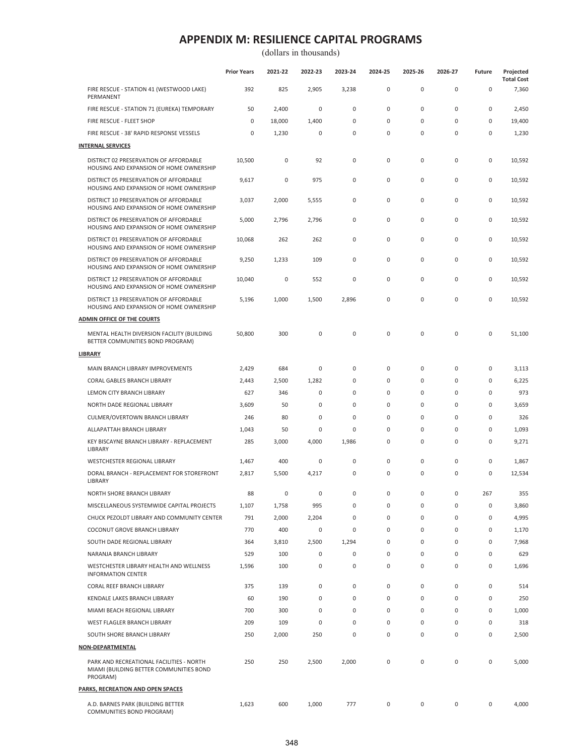|                                                                                                 | <b>Prior Years</b> | 2021-22 | 2022-23 | 2023-24 | 2024-25     | 2025-26      | 2026-27     | Future | Projected<br><b>Total Cost</b> |
|-------------------------------------------------------------------------------------------------|--------------------|---------|---------|---------|-------------|--------------|-------------|--------|--------------------------------|
| FIRE RESCUE - STATION 41 (WESTWOOD LAKE)<br>PERMANENT                                           | 392                | 825     | 2,905   | 3,238   | $\mathsf 0$ | $\pmb{0}$    | $\pmb{0}$   | 0      | 7,360                          |
| FIRE RESCUE - STATION 71 (EUREKA) TEMPORARY                                                     | 50                 | 2,400   | 0       | 0       | $\mathbf 0$ | 0            | $\pmb{0}$   | 0      | 2,450                          |
| FIRE RESCUE - FLEET SHOP                                                                        | 0                  | 18,000  | 1,400   | 0       | $\mathbf 0$ | $\mathbf{0}$ | $\pmb{0}$   | 0      | 19,400                         |
| FIRE RESCUE - 38' RAPID RESPONSE VESSELS                                                        | 0                  | 1,230   | 0       | 0       | $\mathsf 0$ | $\mathbf 0$  | $\pmb{0}$   | 0      | 1,230                          |
| <b>INTERNAL SERVICES</b>                                                                        |                    |         |         |         |             |              |             |        |                                |
| DISTRICT 02 PRESERVATION OF AFFORDABLE<br>HOUSING AND EXPANSION OF HOME OWNERSHIP               | 10,500             | 0       | 92      | 0       | 0           | 0            | 0           | 0      | 10,592                         |
| DISTRICT 05 PRESERVATION OF AFFORDABLE<br>HOUSING AND EXPANSION OF HOME OWNERSHIP               | 9,617              | 0       | 975     | 0       | 0           | 0            | 0           | 0      | 10,592                         |
| DISTRICT 10 PRESERVATION OF AFFORDABLE<br>HOUSING AND EXPANSION OF HOME OWNERSHIP               | 3,037              | 2,000   | 5,555   | 0       | $\mathsf 0$ | 0            | $\pmb{0}$   | 0      | 10,592                         |
| DISTRICT 06 PRESERVATION OF AFFORDABLE<br>HOUSING AND EXPANSION OF HOME OWNERSHIP               | 5,000              | 2,796   | 2,796   | 0       | $\mathsf 0$ | $\pmb{0}$    | $\pmb{0}$   | 0      | 10,592                         |
| DISTRICT 01 PRESERVATION OF AFFORDABLE<br>HOUSING AND EXPANSION OF HOME OWNERSHIP               | 10,068             | 262     | 262     | 0       | $\mathsf 0$ | 0            | $\pmb{0}$   | 0      | 10,592                         |
| DISTRICT 09 PRESERVATION OF AFFORDABLE<br>HOUSING AND EXPANSION OF HOME OWNERSHIP               | 9,250              | 1,233   | 109     | 0       | $\mathsf 0$ | $\mathbf{0}$ | $\pmb{0}$   | 0      | 10,592                         |
| DISTRICT 12 PRESERVATION OF AFFORDABLE<br>HOUSING AND EXPANSION OF HOME OWNERSHIP               | 10,040             | $\bf 0$ | 552     | 0       | $\mathbf 0$ | 0            | 0           | 0      | 10,592                         |
| DISTRICT 13 PRESERVATION OF AFFORDABLE<br>HOUSING AND EXPANSION OF HOME OWNERSHIP               | 5,196              | 1,000   | 1,500   | 2,896   | 0           | $\mathbf{0}$ | $\mathbf 0$ | 0      | 10,592                         |
| <b>ADMIN OFFICE OF THE COURTS</b>                                                               |                    |         |         |         |             |              |             |        |                                |
| MENTAL HEALTH DIVERSION FACILITY (BUILDING<br>BETTER COMMUNITIES BOND PROGRAM)                  | 50,800             | 300     | 0       | 0       | $\pmb{0}$   | $\mathbf 0$  | $\pmb{0}$   | 0      | 51,100                         |
| LIBRARY                                                                                         |                    |         |         |         |             |              |             |        |                                |
| MAIN BRANCH LIBRARY IMPROVEMENTS                                                                | 2,429              | 684     | 0       | 0       | $\mathsf 0$ | $\pmb{0}$    | $\pmb{0}$   | 0      | 3,113                          |
| CORAL GABLES BRANCH LIBRARY                                                                     | 2,443              | 2,500   | 1,282   | 0       | $\mathbf 0$ | $\mathbf{0}$ | 0           | 0      | 6,225                          |
| LEMON CITY BRANCH LIBRARY                                                                       | 627                | 346     | 0       | 0       | $\mathsf 0$ | 0            | $\pmb{0}$   | 0      | 973                            |
| NORTH DADE REGIONAL LIBRARY                                                                     | 3,609              | 50      | 0       | 0       | $\mathbf 0$ | 0            | 0           | 0      | 3,659                          |
| CULMER/OVERTOWN BRANCH LIBRARY                                                                  | 246                | 80      | 0       | 0       | $\mathbf 0$ | $\pmb{0}$    | $\pmb{0}$   | 0      | 326                            |
| ALLAPATTAH BRANCH LIBRARY                                                                       | 1,043              | 50      | 0       | 0       | $\mathbf 0$ | $\mathbf{0}$ | 0           | 0      | 1,093                          |
| KEY BISCAYNE BRANCH LIBRARY - REPLACEMENT<br>LIBRARY                                            | 285                | 3,000   | 4,000   | 1,986   | 0           | $\mathbf{0}$ | 0           | 0      | 9,271                          |
| WESTCHESTER REGIONAL LIBRARY                                                                    | 1,467              | 400     | 0       | 0       | $\mathsf 0$ | 0            | $\pmb{0}$   | 0      | 1,867                          |
| DORAL BRANCH - REPLACEMENT FOR STOREFRONT<br>LIBRARY                                            | 2,817              | 5,500   | 4,217   | 0       | $\mathbf 0$ | $\mathbf{0}$ | $\mathbf 0$ | 0      | 12,534                         |
| NORTH SHORE BRANCH LIBRARY                                                                      | 88                 | 0       | 0       | 0       | $\mathbf 0$ | 0            | 0           | 267    | 355                            |
| MISCELLANEOUS SYSTEMWIDE CAPITAL PROJECTS                                                       | 1,107              | 1,758   | 995     | 0       | 0           | $\mathbf{0}$ | 0           | 0      | 3,860                          |
| CHUCK PEZOLDT LIBRARY AND COMMUNITY CENTER                                                      | 791                | 2,000   | 2,204   | 0       | $\mathsf 0$ | $\mathbf 0$  | $\pmb{0}$   | 0      | 4,995                          |
| COCONUT GROVE BRANCH LIBRARY                                                                    | 770                | 400     | 0       | 0       | $\mathbf 0$ | 0            | 0           | 0      | 1,170                          |
| SOUTH DADE REGIONAL LIBRARY                                                                     | 364                | 3,810   | 2,500   | 1,294   | $\mathsf 0$ | 0            | $\pmb{0}$   | 0      | 7,968                          |
| NARANJA BRANCH LIBRARY                                                                          | 529                | 100     | 0       | 0       | 0           | 0            | 0           | 0      | 629                            |
| WESTCHESTER LIBRARY HEALTH AND WELLNESS<br><b>INFORMATION CENTER</b>                            | 1,596              | 100     | 0       | 0       | $\mathsf 0$ | 0            | $\pmb{0}$   | 0      | 1,696                          |
| CORAL REEF BRANCH LIBRARY                                                                       | 375                | 139     | 0       | 0       | $\mathsf 0$ | 0            | $\pmb{0}$   | 0      | 514                            |
| KENDALE LAKES BRANCH LIBRARY                                                                    | 60                 | 190     | 0       | 0       | $\mathbf 0$ | 0            | 0           | 0      | 250                            |
| MIAMI BEACH REGIONAL LIBRARY                                                                    | 700                | 300     | 0       | 0       | $\mathsf 0$ | 0            | $\pmb{0}$   | 0      | 1,000                          |
| WEST FLAGLER BRANCH LIBRARY                                                                     | 209                | 109     | 0       | 0       | 0           | 0            | 0           | 0      | 318                            |
| SOUTH SHORE BRANCH LIBRARY                                                                      | 250                | 2,000   | 250     | 0       | $\mathsf 0$ | 0            | $\pmb{0}$   | 0      | 2,500                          |
| <b>NON-DEPARTMENTAL</b>                                                                         |                    |         |         |         |             |              |             |        |                                |
| PARK AND RECREATIONAL FACILITIES - NORTH<br>MIAMI (BUILDING BETTER COMMUNITIES BOND<br>PROGRAM) | 250                | 250     | 2,500   | 2,000   | $\mathsf 0$ | 0            | $\pmb{0}$   | 0      | 5,000                          |
| PARKS, RECREATION AND OPEN SPACES                                                               |                    |         |         |         |             |              |             |        |                                |
| A.D. BARNES PARK (BUILDING BETTER<br>COMMUNITIES BOND PROGRAM)                                  | 1,623              | 600     | 1,000   | 777     | 0           | 0            | 0           | 0      | 4,000                          |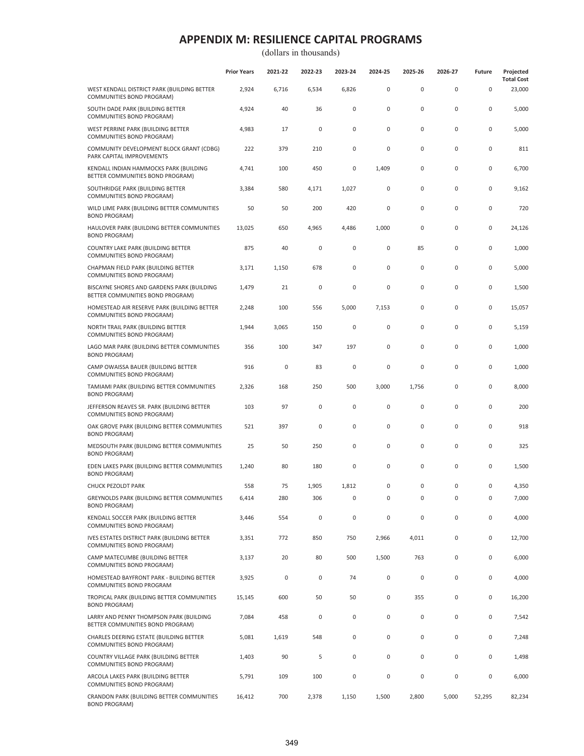|                                                                                 | <b>Prior Years</b> | 2021-22 | 2022-23     | 2023-24     | 2024-25     | 2025-26   | 2026-27 | <b>Future</b> | Projected<br><b>Total Cost</b> |
|---------------------------------------------------------------------------------|--------------------|---------|-------------|-------------|-------------|-----------|---------|---------------|--------------------------------|
| WEST KENDALL DISTRICT PARK (BUILDING BETTER<br>COMMUNITIES BOND PROGRAM)        | 2,924              | 6,716   | 6,534       | 6,826       | $\pmb{0}$   | 0         | 0       | $\mathbf{0}$  | 23,000                         |
| SOUTH DADE PARK (BUILDING BETTER<br>COMMUNITIES BOND PROGRAM)                   | 4,924              | 40      | 36          | 0           | $\mathbf 0$ | 0         | 0       | 0             | 5,000                          |
| WEST PERRINE PARK (BUILDING BETTER<br>COMMUNITIES BOND PROGRAM)                 | 4,983              | 17      | 0           | $\bf 0$     | $\mathbf 0$ | 0         | 0       | 0             | 5,000                          |
| COMMUNITY DEVELOPMENT BLOCK GRANT (CDBG)<br>PARK CAPITAL IMPROVEMENTS           | 222                | 379     | 210         | 0           | 0           | 0         | 0       | $\mathbf 0$   | 811                            |
| KENDALL INDIAN HAMMOCKS PARK (BUILDING<br>BETTER COMMUNITIES BOND PROGRAM)      | 4,741              | 100     | 450         | 0           | 1,409       | 0         | 0       | 0             | 6,700                          |
| SOUTHRIDGE PARK (BUILDING BETTER<br>COMMUNITIES BOND PROGRAM)                   | 3,384              | 580     | 4,171       | 1,027       | $\pmb{0}$   | 0         | 0       | 0             | 9,162                          |
| WILD LIME PARK (BUILDING BETTER COMMUNITIES<br><b>BOND PROGRAM)</b>             | 50                 | 50      | 200         | 420         | $\pmb{0}$   | 0         | 0       | 0             | 720                            |
| HAULOVER PARK (BUILDING BETTER COMMUNITIES<br><b>BOND PROGRAM)</b>              | 13,025             | 650     | 4,965       | 4,486       | 1,000       | 0         | 0       | 0             | 24,126                         |
| COUNTRY LAKE PARK (BUILDING BETTER<br>COMMUNITIES BOND PROGRAM)                 | 875                | 40      | $\bf 0$     | 0           | $\mathbf 0$ | 85        | 0       | 0             | 1,000                          |
| CHAPMAN FIELD PARK (BUILDING BETTER<br>COMMUNITIES BOND PROGRAM)                | 3,171              | 1,150   | 678         | 0           | 0           | 0         | 0       | 0             | 5,000                          |
| BISCAYNE SHORES AND GARDENS PARK (BUILDING<br>BETTER COMMUNITIES BOND PROGRAM)  | 1,479              | 21      | 0           | 0           | 0           | 0         | 0       | 0             | 1,500                          |
| HOMESTEAD AIR RESERVE PARK (BUILDING BETTER<br>COMMUNITIES BOND PROGRAM)        | 2,248              | 100     | 556         | 5,000       | 7,153       | 0         | 0       | 0             | 15,057                         |
| NORTH TRAIL PARK (BUILDING BETTER<br>COMMUNITIES BOND PROGRAM)                  | 1,944              | 3,065   | 150         | $\bf 0$     | $\mathbf 0$ | 0         | 0       | 0             | 5,159                          |
| LAGO MAR PARK (BUILDING BETTER COMMUNITIES<br><b>BOND PROGRAM)</b>              | 356                | 100     | 347         | 197         | $\pmb{0}$   | 0         | 0       | 0             | 1,000                          |
| CAMP OWAISSA BAUER (BUILDING BETTER<br>COMMUNITIES BOND PROGRAM)                | 916                | 0       | 83          | $\mathbf 0$ | $\mathbf 0$ | 0         | 0       | 0             | 1,000                          |
| TAMIAMI PARK (BUILDING BETTER COMMUNITIES<br><b>BOND PROGRAM)</b>               | 2,326              | 168     | 250         | 500         | 3,000       | 1,756     | 0       | 0             | 8,000                          |
| JEFFERSON REAVES SR. PARK (BUILDING BETTER<br>COMMUNITIES BOND PROGRAM)         | 103                | 97      | 0           | $\mathbf 0$ | $\mathbf 0$ | 0         | 0       | 0             | 200                            |
| OAK GROVE PARK (BUILDING BETTER COMMUNITIES<br><b>BOND PROGRAM)</b>             | 521                | 397     | 0           | $\mathbf 0$ | $\pmb{0}$   | 0         | 0       | 0             | 918                            |
| MEDSOUTH PARK (BUILDING BETTER COMMUNITIES<br><b>BOND PROGRAM)</b>              | 25                 | 50      | 250         | $\mathsf 0$ | $\pmb{0}$   | 0         | 0       | 0             | 325                            |
| EDEN LAKES PARK (BUILDING BETTER COMMUNITIES<br><b>BOND PROGRAM)</b>            | 1,240              | 80      | 180         | 0           | $\pmb{0}$   | 0         | 0       | 0             | 1,500                          |
| <b>CHUCK PEZOLDT PARK</b>                                                       | 558                | 75      | 1,905       | 1,812       | 0           | 0         | 0       | 0             | 4,350                          |
| GREYNOLDS PARK (BUILDING BETTER COMMUNITIES<br><b>BOND PROGRAM)</b>             | 6,414              | 280     | 306         | 0           | 0           | 0         | 0       | 0             | 7,000                          |
| KENDALL SOCCER PARK (BUILDING BETTER<br>COMMUNITIES BOND PROGRAM)               | 3,446              | 554     | $\mathsf 0$ | $\mathbf 0$ | $\pmb{0}$   | 0         | 0       | 0             | 4,000                          |
| <b>IVES ESTATES DISTRICT PARK (BUILDING BETTER</b><br>COMMUNITIES BOND PROGRAM) | 3,351              | 772     | 850         | 750         | 2,966       | 4,011     | 0       | 0             | 12,700                         |
| CAMP MATECUMBE (BUILDING BETTER<br>COMMUNITIES BOND PROGRAM)                    | 3,137              | 20      | 80          | 500         | 1,500       | 763       | 0       | 0             | 6,000                          |
| HOMESTEAD BAYFRONT PARK - BUILDING BETTER<br>COMMUNITIES BOND PROGRAM           | 3,925              | 0       | $\mathsf 0$ | 74          | $\pmb{0}$   | $\pmb{0}$ | 0       | 0             | 4,000                          |
| TROPICAL PARK (BUILDING BETTER COMMUNITIES<br><b>BOND PROGRAM)</b>              | 15,145             | 600     | 50          | 50          | $\pmb{0}$   | 355       | 0       | 0             | 16,200                         |
| LARRY AND PENNY THOMPSON PARK (BUILDING<br>BETTER COMMUNITIES BOND PROGRAM)     | 7,084              | 458     | 0           | 0           | $\pmb{0}$   | $\pmb{0}$ | 0       | 0             | 7,542                          |
| CHARLES DEERING ESTATE (BUILDING BETTER<br>COMMUNITIES BOND PROGRAM)            | 5,081              | 1,619   | 548         | 0           | $\pmb{0}$   | 0         | 0       | 0             | 7,248                          |
| COUNTRY VILLAGE PARK (BUILDING BETTER<br>COMMUNITIES BOND PROGRAM)              | 1,403              | 90      | 5           | 0           | $\pmb{0}$   | 0         | 0       | 0             | 1,498                          |
| ARCOLA LAKES PARK (BUILDING BETTER<br>COMMUNITIES BOND PROGRAM)                 | 5,791              | 109     | 100         | 0           | $\mathbf 0$ | 0         | 0       | 0             | 6,000                          |
| CRANDON PARK (BUILDING BETTER COMMUNITIES<br><b>BOND PROGRAM)</b>               | 16,412             | 700     | 2,378       | 1,150       | 1,500       | 2,800     | 5,000   | 52,295        | 82,234                         |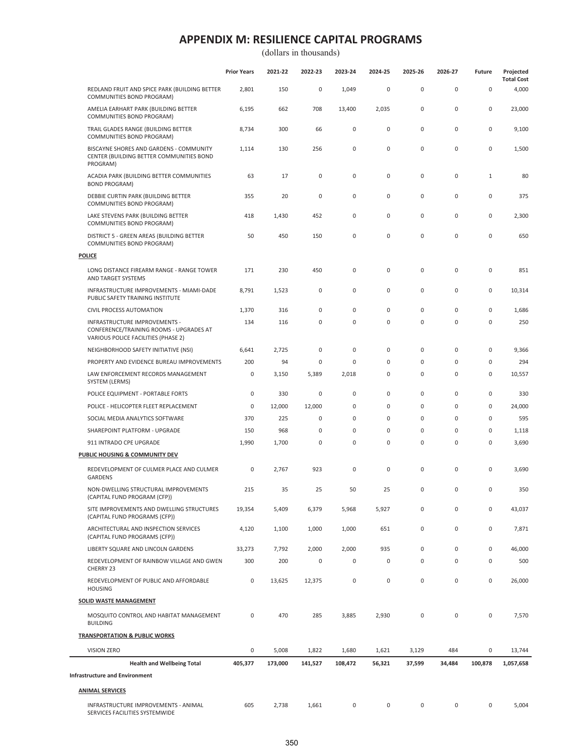(dollars in thousands)

|                                                                                                                 | <b>Prior Years</b>  | 2021-22 | 2022-23     | 2023-24     | 2024-25     | 2025-26     | 2026-27     | Future              | Projected<br><b>Total Cost</b> |
|-----------------------------------------------------------------------------------------------------------------|---------------------|---------|-------------|-------------|-------------|-------------|-------------|---------------------|--------------------------------|
| REDLAND FRUIT AND SPICE PARK (BUILDING BETTER<br>COMMUNITIES BOND PROGRAM)                                      | 2,801               | 150     | $\mathsf 0$ | 1,049       | $\mathsf 0$ | $\mathsf 0$ | 0           | 0                   | 4,000                          |
| AMELIA EARHART PARK (BUILDING BETTER<br>COMMUNITIES BOND PROGRAM)                                               | 6,195               | 662     | 708         | 13,400      | 2,035       | $\mathsf 0$ | 0           | $\mathsf 0$         | 23,000                         |
| TRAIL GLADES RANGE (BUILDING BETTER<br>COMMUNITIES BOND PROGRAM)                                                | 8,734               | 300     | 66          | $\mathsf 0$ | $\mathsf 0$ | $\mathsf 0$ | 0           | 0                   | 9,100                          |
| BISCAYNE SHORES AND GARDENS - COMMUNITY<br>CENTER (BUILDING BETTER COMMUNITIES BOND<br>PROGRAM)                 | 1,114               | 130     | 256         | $\pmb{0}$   | $\mathsf 0$ | $\mathsf 0$ | $\pmb{0}$   | $\mathsf 0$         | 1,500                          |
| ACADIA PARK (BUILDING BETTER COMMUNITIES<br><b>BOND PROGRAM)</b>                                                | 63                  | 17      | $\mathbf 0$ | $\mathsf 0$ | $\mathsf 0$ | $\mathsf 0$ | 0           | 1                   | 80                             |
| DEBBIE CURTIN PARK (BUILDING BETTER<br>COMMUNITIES BOND PROGRAM)                                                | 355                 | 20      | $\bf 0$     | $\mathsf 0$ | $\mathbf 0$ | $\mathsf 0$ | 0           | $\mathsf 0$         | 375                            |
| LAKE STEVENS PARK (BUILDING BETTER<br>COMMUNITIES BOND PROGRAM)                                                 | 418                 | 1,430   | 452         | $\mathsf 0$ | 0           | $\mathsf 0$ | 0           | 0                   | 2,300                          |
| DISTRICT 5 - GREEN AREAS (BUILDING BETTER<br>COMMUNITIES BOND PROGRAM)                                          | 50                  | 450     | 150         | $\mathsf 0$ | $\pmb{0}$   | $\mathsf 0$ | $\pmb{0}$   | $\mathsf 0$         | 650                            |
| <b>POLICE</b>                                                                                                   |                     |         |             |             |             |             |             |                     |                                |
| LONG DISTANCE FIREARM RANGE - RANGE TOWER<br>AND TARGET SYSTEMS                                                 | 171                 | 230     | 450         | $\mathsf 0$ | $\mathsf 0$ | $\mathsf 0$ | 0           | $\mathsf 0$         | 851                            |
| INFRASTRUCTURE IMPROVEMENTS - MIAMI-DADE<br>PUBLIC SAFETY TRAINING INSTITUTE                                    | 8,791               | 1,523   | 0           | $\mathsf 0$ | $\mathsf 0$ | $\mathsf 0$ | 0           | 0                   | 10,314                         |
| <b>CIVIL PROCESS AUTOMATION</b>                                                                                 | 1,370               | 316     | $\mathsf 0$ | $\mathsf 0$ | $\mathbf 0$ | $\mathsf 0$ | 0           | $\mathsf{O}\xspace$ | 1,686                          |
| INFRASTRUCTURE IMPROVEMENTS -<br>CONFERENCE/TRAINING ROOMS - UPGRADES AT<br>VARIOUS POLICE FACILITIES (PHASE 2) | 134                 | 116     | $\mathsf 0$ | $\mathsf 0$ | $\mathsf 0$ | $\mathsf 0$ | 0           | 0                   | 250                            |
| NEIGHBORHOOD SAFETY INITIATIVE (NSI)                                                                            | 6,641               | 2,725   | $\bf 0$     | $\mathsf 0$ | $\mathsf 0$ | $\mathsf 0$ | 0           | $\mathsf{O}\xspace$ | 9,366                          |
| PROPERTY AND EVIDENCE BUREAU IMPROVEMENTS                                                                       | 200                 | 94      | $\bf 0$     | $\mathsf 0$ | $\mathbf 0$ | $\mathsf 0$ | $\pmb{0}$   | $\mathsf{O}\xspace$ | 294                            |
| LAW ENFORCEMENT RECORDS MANAGEMENT<br>SYSTEM (LERMS)                                                            | $\pmb{0}$           | 3,150   | 5,389       | 2,018       | $\mathsf 0$ | $\mathsf 0$ | 0           | 0                   | 10,557                         |
| POLICE EQUIPMENT - PORTABLE FORTS                                                                               | $\pmb{0}$           | 330     | $\bf 0$     | $\mathsf 0$ | $\mathsf 0$ | $\mathsf 0$ | 0           | 0                   | 330                            |
| POLICE - HELICOPTER FLEET REPLACEMENT                                                                           | 0                   | 12,000  | 12,000      | 0           | $\mathsf 0$ | $\mathsf 0$ | $\pmb{0}$   | $\mathsf{O}\xspace$ | 24,000                         |
| SOCIAL MEDIA ANALYTICS SOFTWARE                                                                                 | 370                 | 225     | $\mathbf 0$ | $\mathsf 0$ | $\mathsf 0$ | $\mathsf 0$ | $\pmb{0}$   | $\mathsf{O}\xspace$ | 595                            |
| SHAREPOINT PLATFORM - UPGRADE                                                                                   | 150                 | 968     | 0           | 0           | $\mathbf 0$ | $\mathbf 0$ | $\mathbf 0$ | $\mathsf{O}\xspace$ | 1,118                          |
| 911 INTRADO CPE UPGRADE                                                                                         | 1,990               | 1,700   | $\bf 0$     | $\mathsf 0$ | $\mathsf 0$ | $\mathsf 0$ | $\pmb{0}$   | $\mathsf{O}\xspace$ | 3,690                          |
| PUBLIC HOUSING & COMMUNITY DEV                                                                                  |                     |         |             |             |             |             |             |                     |                                |
| REDEVELOPMENT OF CULMER PLACE AND CULMER<br><b>GARDENS</b>                                                      | $\mathbf 0$         | 2,767   | 923         | $\mathsf 0$ | $\mathsf 0$ | $\mathsf 0$ | 0           | $\mathsf{O}\xspace$ | 3,690                          |
| NON-DWELLING STRUCTURAL IMPROVEMENTS<br>(CAPITAL FUND PROGRAM (CFP))                                            | 215                 | 35      | 25          | 50          | 25          | $\mathsf 0$ | $\pmb{0}$   | $\mathsf{O}\xspace$ | 350                            |
| SITE IMPROVEMENTS AND DWELLING STRUCTURES<br>(CAPITAL FUND PROGRAMS (CFP))                                      | 19,354              | 5,409   | 6,379       | 5,968       | 5,927       | $\pmb{0}$   | 0           | 0                   | 43,037                         |
| ARCHITECTURAL AND INSPECTION SERVICES<br>(CAPITAL FUND PROGRAMS (CFP))                                          | 4,120               | 1,100   | 1,000       | 1,000       | 651         | $\mathsf 0$ | 0           | 0                   | 7,871                          |
| LIBERTY SQUARE AND LINCOLN GARDENS                                                                              | 33,273              | 7,792   | 2,000       | 2,000       | 935         | $\mathsf 0$ | 0           | 0                   | 46,000                         |
| REDEVELOPMENT OF RAINBOW VILLAGE AND GWEN<br>CHERRY 23                                                          | 300                 | 200     | $\mathbf 0$ | $\pmb{0}$   | 0           | $\mathsf 0$ | $\pmb{0}$   | $\mathsf{O}\xspace$ | 500                            |
| REDEVELOPMENT OF PUBLIC AND AFFORDABLE<br><b>HOUSING</b>                                                        | $\mathsf{O}\xspace$ | 13,625  | 12,375      | $\mathsf 0$ | $\mathsf 0$ | $\pmb{0}$   | 0           | 0                   | 26,000                         |
| <b>SOLID WASTE MANAGEMENT</b>                                                                                   |                     |         |             |             |             |             |             |                     |                                |
| MOSQUITO CONTROL AND HABITAT MANAGEMENT<br><b>BUILDING</b>                                                      | 0                   | 470     | 285         | 3,885       | 2,930       | $\pmb{0}$   | 0           | 0                   | 7,570                          |
| <b>TRANSPORTATION &amp; PUBLIC WORKS</b>                                                                        |                     |         |             |             |             |             |             |                     |                                |
| <b>VISION ZERO</b>                                                                                              | $\mathsf{O}\xspace$ | 5,008   | 1,822       | 1,680       | 1,621       | 3,129       | 484         | 0                   | 13,744                         |
| <b>Health and Wellbeing Total</b>                                                                               | 405,377             | 173,000 | 141,527     | 108,472     | 56,321      | 37,599      | 34,484      | 100,878             | 1,057,658                      |
| <b>Infrastructure and Environment</b>                                                                           |                     |         |             |             |             |             |             |                     |                                |
| <b>ANIMAL SERVICES</b>                                                                                          |                     |         |             |             |             |             |             |                     |                                |
| INFRASTRUCTURE IMPROVEMENTS - ANIMAL                                                                            | 605                 |         |             | 0           | 0           | 0           | 0           | 0                   |                                |
| SERVICES FACILITIES SYSTEMWIDE                                                                                  |                     | 2,738   | 1,661       |             |             |             |             |                     | 5,004                          |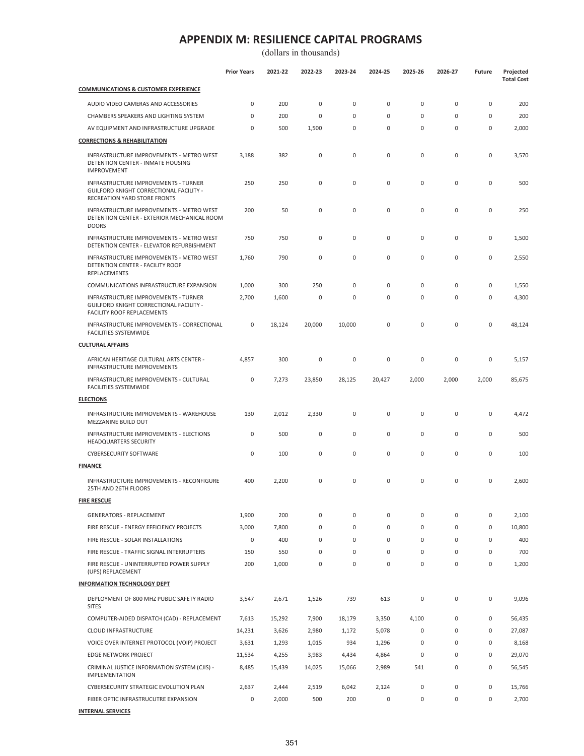|                                                                                                                             | <b>Prior Years</b> | 2021-22 | 2022-23     | 2023-24     | 2024-25      | 2025-26     | 2026-27     | <b>Future</b> | Projected<br><b>Total Cost</b> |
|-----------------------------------------------------------------------------------------------------------------------------|--------------------|---------|-------------|-------------|--------------|-------------|-------------|---------------|--------------------------------|
| <b>COMMUNICATIONS &amp; CUSTOMER EXPERIENCE</b>                                                                             |                    |         |             |             |              |             |             |               |                                |
| AUDIO VIDEO CAMERAS AND ACCESSORIES                                                                                         | 0                  | 200     | $\mathsf 0$ | $\mathbf 0$ | $\mathbf 0$  | $\mathbf 0$ | $\mathsf 0$ | 0             | 200                            |
| CHAMBERS SPEAKERS AND LIGHTING SYSTEM                                                                                       | 0                  | 200     | $\mathbf 0$ | 0           | $\mathbf 0$  | $\mathbf 0$ | $\mathbf 0$ | 0             | 200                            |
| AV EQUIPMENT AND INFRASTRUCTURE UPGRADE                                                                                     | 0                  | 500     | 1,500       | $\mathbf 0$ | $\mathbf 0$  | $\mathbf 0$ | $\mathsf 0$ | 0             | 2,000                          |
| <b>CORRECTIONS &amp; REHABILITATION</b>                                                                                     |                    |         |             |             |              |             |             |               |                                |
| INFRASTRUCTURE IMPROVEMENTS - METRO WEST<br><b>DETENTION CENTER - INMATE HOUSING</b><br><b>IMPROVEMENT</b>                  | 3,188              | 382     | $\mathsf 0$ | $\mathbf 0$ | $\mathbf 0$  | $\mathbf 0$ | $\mathsf 0$ | 0             | 3,570                          |
| INFRASTRUCTURE IMPROVEMENTS - TURNER<br>GUILFORD KNIGHT CORRECTIONAL FACILITY -<br>RECREATION YARD STORE FRONTS             | 250                | 250     | $\mathsf 0$ | $\mathbf 0$ | $\pmb{0}$    | $\mathbf 0$ | $\mathsf 0$ | 0             | 500                            |
| INFRASTRUCTURE IMPROVEMENTS - METRO WEST<br>DETENTION CENTER - EXTERIOR MECHANICAL ROOM<br><b>DOORS</b>                     | 200                | 50      | $\mathsf 0$ | $\mathbf 0$ | $\mathbf 0$  | $\mathbf 0$ | $\mathbf 0$ | 0             | 250                            |
| INFRASTRUCTURE IMPROVEMENTS - METRO WEST<br>DETENTION CENTER - ELEVATOR REFURBISHMENT                                       | 750                | 750     | 0           | 0           | 0            | 0           | $\mathbf 0$ | 0             | 1,500                          |
| <b>INFRASTRUCTURE IMPROVEMENTS - METRO WEST</b><br><b>DETENTION CENTER - FACILITY ROOF</b><br>REPLACEMENTS                  | 1,760              | 790     | $\mathsf 0$ | $\mathbf 0$ | $\mathbf 0$  | 0           | $\mathsf 0$ | 0             | 2,550                          |
| COMMUNICATIONS INFRASTRUCTURE EXPANSION                                                                                     | 1,000              | 300     | 250         | 0           | $\mathbf{0}$ | 0           | $\mathbf 0$ | 0             | 1,550                          |
| <b>INFRASTRUCTURE IMPROVEMENTS - TURNER</b><br>GUILFORD KNIGHT CORRECTIONAL FACILITY -<br><b>FACILITY ROOF REPLACEMENTS</b> | 2,700              | 1,600   | $\mathsf 0$ | $\mathbf 0$ | $\pmb{0}$    | $\mathbf 0$ | $\mathsf 0$ | 0             | 4,300                          |
| INFRASTRUCTURE IMPROVEMENTS - CORRECTIONAL<br><b>FACILITIES SYSTEMWIDE</b>                                                  | 0                  | 18,124  | 20,000      | 10,000      | $\mathbf 0$  | 0           | $\mathbf 0$ | 0             | 48,124                         |
| <b>CULTURAL AFFAIRS</b>                                                                                                     |                    |         |             |             |              |             |             |               |                                |
| AFRICAN HERITAGE CULTURAL ARTS CENTER -<br>INFRASTRUCTURE IMPROVEMENTS                                                      | 4,857              | 300     | 0           | 0           | $\mathbf{0}$ | 0           | $\mathbf 0$ | 0             | 5,157                          |
| INFRASTRUCTURE IMPROVEMENTS - CULTURAL<br><b>FACILITIES SYSTEMWIDE</b>                                                      | 0                  | 7,273   | 23,850      | 28,125      | 20,427       | 2,000       | 2,000       | 2,000         | 85,675                         |
| <b>ELECTIONS</b>                                                                                                            |                    |         |             |             |              |             |             |               |                                |
| INFRASTRUCTURE IMPROVEMENTS - WAREHOUSE<br>MEZZANINE BUILD OUT                                                              | 130                | 2,012   | 2,330       | 0           | $\mathbf{0}$ | 0           | $\mathbf 0$ | 0             | 4,472                          |
| INFRASTRUCTURE IMPROVEMENTS - ELECTIONS<br>HEADQUARTERS SECURITY                                                            | 0                  | 500     | $\mathsf 0$ | $\mathbf 0$ | $\mathbf 0$  | 0           | $\mathsf 0$ | 0             | 500                            |
| <b>CYBERSECURITY SOFTWARE</b>                                                                                               | 0                  | 100     | $\mathsf 0$ | $\mathbf 0$ | $\mathbf 0$  | $\mathbf 0$ | $\mathbf 0$ | 0             | 100                            |
| <b>FINANCE</b>                                                                                                              |                    |         |             |             |              |             |             |               |                                |
| INFRASTRUCTURE IMPROVEMENTS - RECONFIGURE<br>25TH AND 26TH FLOORS                                                           | 400                | 2,200   | 0           | $\mathbf 0$ | $\mathbf 0$  | 0           | $\mathsf 0$ | 0             | 2,600                          |
| <b>FIRE RESCUE</b>                                                                                                          |                    |         |             |             |              |             |             |               |                                |
| <b>GENERATORS - REPLACEMENT</b>                                                                                             | 1,900              | 200     | $\mathsf 0$ | $\mathsf 0$ | $\mathsf 0$  | 0           | $\mathsf 0$ | 0             | 2,100                          |
| FIRE RESCUE - ENERGY EFFICIENCY PROJECTS                                                                                    | 3,000              | 7,800   | $\mathsf 0$ | 0           | 0            | 0           | 0           | 0             | 10,800                         |
| FIRE RESCUE - SOLAR INSTALLATIONS                                                                                           | 0                  | 400     | $\mathsf 0$ | $\mathbf 0$ | $\mathbf 0$  | $\mathbf 0$ | $\mathsf 0$ | 0             | 400                            |
| FIRE RESCUE - TRAFFIC SIGNAL INTERRUPTERS                                                                                   | 150                | 550     | $\mathbf 0$ | $\mathbf 0$ | $\mathbf 0$  | $\mathbf 0$ | $\mathbf 0$ | 0             | 700                            |
| FIRE RESCUE - UNINTERRUPTED POWER SUPPLY<br>(UPS) REPLACEMENT                                                               | 200                | 1,000   | $\mathsf 0$ | $\mathbf 0$ | $\mathbf 0$  | $\pmb{0}$   | $\mathsf 0$ | 0             | 1,200                          |
| <b>INFORMATION TECHNOLOGY DEPT</b>                                                                                          |                    |         |             |             |              |             |             |               |                                |
| DEPLOYMENT OF 800 MHZ PUBLIC SAFETY RADIO<br><b>SITES</b>                                                                   | 3,547              | 2,671   | 1,526       | 739         | 613          | 0           | 0           | 0             | 9,096                          |
| COMPUTER-AIDED DISPATCH (CAD) - REPLACEMENT                                                                                 | 7,613              | 15,292  | 7,900       | 18,179      | 3,350        | 4,100       | $\mathsf 0$ | 0             | 56,435                         |
| CLOUD INFRASTRUCTURE                                                                                                        | 14,231             | 3,626   | 2,980       | 1,172       | 5,078        | 0           | 0           | 0             | 27,087                         |
| VOICE OVER INTERNET PROTOCOL (VOIP) PROJECT                                                                                 | 3,631              | 1,293   | 1,015       | 934         | 1,296        | 0           | $\mathsf 0$ | 0             | 8,168                          |
| EDGE NETWORK PROJECT                                                                                                        | 11,534             | 4,255   | 3,983       | 4,434       | 4,864        | $\mathbf 0$ | $\mathsf 0$ | 0             | 29,070                         |
| CRIMINAL JUSTICE INFORMATION SYSTEM (CJIS) -<br><b>IMPLEMENTATION</b>                                                       | 8,485              | 15,439  | 14,025      | 15,066      | 2,989        | 541         | $\mathsf 0$ | 0             | 56,545                         |
| CYBERSECURITY STRATEGIC EVOLUTION PLAN                                                                                      | 2,637              | 2,444   | 2,519       | 6,042       | 2,124        | 0           | $\mathsf 0$ | 0             | 15,766                         |
| FIBER OPTIC INFRASTRUCUTRE EXPANSION                                                                                        | 0                  | 2,000   | 500         | 200         | $\mathbf 0$  | 0           | 0           | 0             | 2,700                          |
| <b>INTERNAL SERVICES</b>                                                                                                    |                    |         |             |             |              |             |             |               |                                |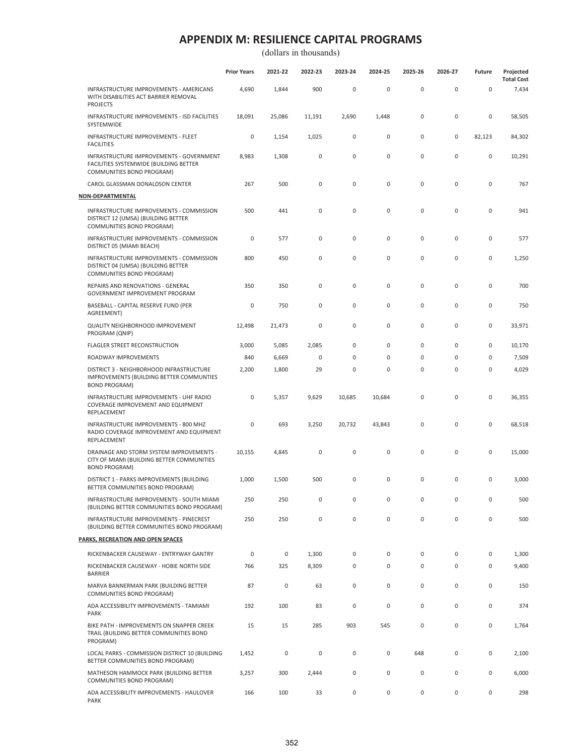|                                                                                                                 | <b>Prior Years</b> | 2021-22     | 2022-23     | 2023-24     | 2024-25     | 2025-26     | 2026-27     | Future              | Projected<br><b>Total Cost</b> |
|-----------------------------------------------------------------------------------------------------------------|--------------------|-------------|-------------|-------------|-------------|-------------|-------------|---------------------|--------------------------------|
| INFRASTRUCTURE IMPROVEMENTS - AMERICANS<br>WITH DISABILITIES ACT BARRIER REMOVAL<br><b>PROJECTS</b>             | 4,690              | 1,844       | 900         | $\mathsf 0$ | $\pmb{0}$   | $\mathsf 0$ | 0           | $\mathsf 0$         | 7,434                          |
| INFRASTRUCTURE IMPROVEMENTS - ISD FACILITIES<br>SYSTEMWIDE                                                      | 18,091             | 25,086      | 11,191      | 2,690       | 1,448       | 0           | 0           | 0                   | 58,505                         |
| INFRASTRUCTURE IMPROVEMENTS - FLEET<br><b>FACILITIES</b>                                                        | 0                  | 1,154       | 1,025       | 0           | 0           | 0           | 0           | 82,123              | 84,302                         |
| INFRASTRUCTURE IMPROVEMENTS - GOVERNMENT<br>FACILITIES SYSTEMWIDE (BUILDING BETTER<br>COMMUNITIES BOND PROGRAM) | 8,983              | 1,308       | 0           | $\mathsf 0$ | 0           | $\mathbf 0$ | 0           | 0                   | 10,291                         |
| CAROL GLASSMAN DONALDSON CENTER                                                                                 | 267                | 500         | 0           | $\mathsf 0$ | 0           | $\mathbf 0$ | $\pmb{0}$   | 0                   | 767                            |
| <u>NON-DEPARTMENTAL</u>                                                                                         |                    |             |             |             |             |             |             |                     |                                |
| INFRASTRUCTURE IMPROVEMENTS - COMMISSION<br>DISTRICT 12 (UMSA) (BUILDING BETTER<br>COMMUNITIES BOND PROGRAM)    | 500                | 441         | $\mathbf 0$ | $\mathsf 0$ | 0           | $\mathbf 0$ | 0           | 0                   | 941                            |
| INFRASTRUCTURE IMPROVEMENTS - COMMISSION<br>DISTRICT 05 (MIAMI BEACH)                                           | 0                  | 577         | 0           | $\mathsf 0$ | 0           | 0           | 0           | 0                   | 577                            |
| INFRASTRUCTURE IMPROVEMENTS - COMMISSION<br>DISTRICT 04 (UMSA) (BUILDING BETTER<br>COMMUNITIES BOND PROGRAM)    | 800                | 450         | 0           | $\mathsf 0$ | 0           | $\mathbf 0$ | 0           | 0                   | 1,250                          |
| REPAIRS AND RENOVATIONS - GENERAL<br>GOVERNMENT IMPROVEMENT PROGRAM                                             | 350                | 350         | 0           | 0           | 0           | 0           | 0           | 0                   | 700                            |
| BASEBALL - CAPITAL RESERVE FUND (PER<br>AGREEMENT)                                                              | 0                  | 750         | 0           | $\mathsf 0$ | 0           | $\mathbf 0$ | $\mathbf 0$ | 0                   | 750                            |
| QUALITY NEIGHBORHOOD IMPROVEMENT<br>PROGRAM (QNIP)                                                              | 12,498             | 21,473      | $\mathbf 0$ | $\mathsf 0$ | 0           | $\mathbf 0$ | 0           | 0                   | 33,971                         |
| FLAGLER STREET RECONSTRUCTION                                                                                   | 3,000              | 5,085       | 2,085       | $\mathbf 0$ | 0           | $\mathbf 0$ | 0           | 0                   | 10,170                         |
| ROADWAY IMPROVEMENTS                                                                                            | 840                | 6,669       | 0           | $\mathbf 0$ | 0           | $\mathbf 0$ | 0           | $\mathsf{O}\xspace$ | 7,509                          |
| DISTRICT 3 - NEIGHBORHOOD INFRASTRUCTURE<br>IMPROVEMENTS (BUILDING BETTER COMMUNTIES<br><b>BOND PROGRAM)</b>    | 2,200              | 1,800       | 29          | $\mathsf 0$ | 0           | $\mathsf 0$ | 0           | $\mathsf{O}\xspace$ | 4,029                          |
| INFRASTRUCTURE IMPROVEMENTS - UHF RADIO<br>COVERAGE IMPROVEMENT AND EQUIPMENT<br>REPLACEMENT                    | 0                  | 5,357       | 9,629       | 10,685      | 10,684      | $\mathsf 0$ | 0           | 0                   | 36,355                         |
| INFRASTRUCTURE IMPROVEMENTS - 800 MHZ<br>RADIO COVERAGE IMPROVEMENT AND EQUIPMENT<br>REPLACEMENT                | 0                  | 693         | 3,250       | 20,732      | 43,843      | $\mathbf 0$ | 0           | 0                   | 68,518                         |
| DRAINAGE AND STORM SYSTEM IMPROVEMENTS -<br>CITY OF MIAMI (BUILDING BETTER COMMUNITIES<br><b>BOND PROGRAM)</b>  | 10,155             | 4,845       | 0           | $\mathsf 0$ | $\mathbf 0$ | $\mathbf 0$ | $\pmb{0}$   | 0                   | 15,000                         |
| DISTRICT 1 - PARKS IMPROVEMENTS (BUILDING<br>BETTER COMMUNITIES BOND PROGRAM)                                   | 1,000              | 1,500       | 500         | $\mathsf 0$ | $\mathbf 0$ | $\mathbf 0$ | $\mathbf 0$ | $\mathbf 0$         | 3,000                          |
| INFRASTRUCTURE IMPROVEMENTS - SOUTH MIAMI<br>(BUILDING BETTER COMMUNITIES BOND PROGRAM)                         | 250                | 250         | 0           | 0           | 0           | 0           | 0           | 0                   | 500                            |
| INFRASTRUCTURE IMPROVEMENTS - PINECREST<br>(BUILDING BETTER COMMUNITIES BOND PROGRAM)                           | 250                | 250         | 0           | $\mathsf 0$ | 0           | $\mathsf 0$ | 0           | 0                   | 500                            |
| PARKS, RECREATION AND OPEN SPACES                                                                               |                    |             |             |             |             |             |             |                     |                                |
| RICKENBACKER CAUSEWAY - ENTRYWAY GANTRY                                                                         | $\mathbf 0$        | $\mathsf 0$ | 1,300       | $\mathsf 0$ | 0           | 0           | 0           | 0                   | 1,300                          |
| RICKENBACKER CAUSEWAY - HOBIE NORTH SIDE<br><b>BARRIER</b>                                                      | 766                | 325         | 8,309       | $\mathsf 0$ | 0           | $\mathsf 0$ | 0           | $\mathsf{O}\xspace$ | 9,400                          |
| MARVA BANNERMAN PARK (BUILDING BETTER<br>COMMUNITIES BOND PROGRAM)                                              | 87                 | $\mathsf 0$ | 63          | $\mathsf 0$ | 0           | $\mathsf 0$ | 0           | 0                   | 150                            |
| ADA ACCESSIBILITY IMPROVEMENTS - TAMIAMI<br>PARK                                                                | 192                | 100         | 83          | $\mathsf 0$ | 0           | $\mathsf 0$ | 0           | 0                   | 374                            |
| BIKE PATH - IMPROVEMENTS ON SNAPPER CREEK<br>TRAIL (BUILDING BETTER COMMUNITIES BOND<br>PROGRAM)                | 15                 | 15          | 285         | 903         | 545         | $\mathsf 0$ | 0           | 0                   | 1,764                          |
| LOCAL PARKS - COMMISSION DISTRICT 10 (BUILDING<br>BETTER COMMUNITIES BOND PROGRAM)                              | 1,452              | $\mathsf 0$ | $\mathsf 0$ | $\mathsf 0$ | 0           | 648         | 0           | 0                   | 2,100                          |
| MATHESON HAMMOCK PARK (BUILDING BETTER<br>COMMUNITIES BOND PROGRAM)                                             | 3,257              | 300         | 2,444       | $\mathsf 0$ | 0           | $\mathsf 0$ | 0           | 0                   | 6,000                          |
| ADA ACCESSIBILITY IMPROVEMENTS - HAULOVER<br>PARK                                                               | 166                | 100         | 33          | $\mathsf 0$ | 0           | $\mathsf 0$ | 0           | 0                   | 298                            |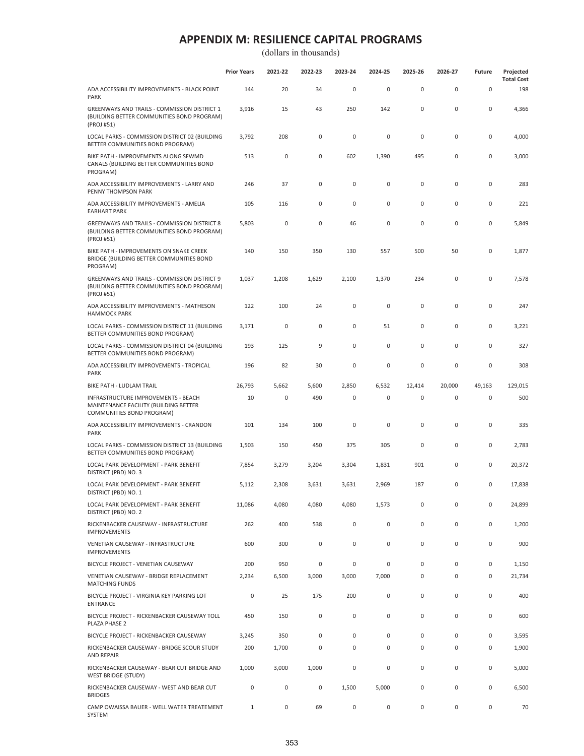|                                                                                                           | <b>Prior Years</b> | 2021-22 | 2022-23     | 2023-24 | 2024-25      | 2025-26 | 2026-27   | <b>Future</b>       | Projected<br><b>Total Cost</b> |
|-----------------------------------------------------------------------------------------------------------|--------------------|---------|-------------|---------|--------------|---------|-----------|---------------------|--------------------------------|
| ADA ACCESSIBILITY IMPROVEMENTS - BLACK POINT<br><b>PARK</b>                                               | 144                | 20      | 34          | 0       | $\mathbf 0$  | 0       | 0         | $\mathsf{O}\xspace$ | 198                            |
| GREENWAYS AND TRAILS - COMMISSION DISTRICT 1<br>(BUILDING BETTER COMMUNITIES BOND PROGRAM)<br>(PROJ #51)  | 3,916              | 15      | 43          | 250     | 142          | 0       | $\pmb{0}$ | 0                   | 4,366                          |
| LOCAL PARKS - COMMISSION DISTRICT 02 (BUILDING<br>BETTER COMMUNITIES BOND PROGRAM)                        | 3,792              | 208     | 0           | 0       | $\mathbf 0$  | 0       | 0         | 0                   | 4,000                          |
| BIKE PATH - IMPROVEMENTS ALONG SFWMD<br>CANALS (BUILDING BETTER COMMUNITIES BOND<br>PROGRAM)              | 513                | 0       | $\mathbf 0$ | 602     | 1,390        | 495     | 0         | 0                   | 3,000                          |
| ADA ACCESSIBILITY IMPROVEMENTS - LARRY AND<br>PENNY THOMPSON PARK                                         | 246                | 37      | 0           | 0       | $\mathbf 0$  | 0       | 0         | $\mathbf 0$         | 283                            |
| ADA ACCESSIBILITY IMPROVEMENTS - AMELIA<br><b>EARHART PARK</b>                                            | 105                | 116     | 0           | 0       | $\mathbf 0$  | 0       | 0         | 0                   | 221                            |
| GREENWAYS AND TRAILS - COMMISSION DISTRICT 8<br>(BUILDING BETTER COMMUNITIES BOND PROGRAM)<br>(PROJ #51)  | 5,803              | 0       | 0           | 46      | $\mathbf 0$  | 0       | $\pmb{0}$ | 0                   | 5,849                          |
| BIKE PATH - IMPROVEMENTS ON SNAKE CREEK<br>BRIDGE (BUILDING BETTER COMMUNITIES BOND<br>PROGRAM)           | 140                | 150     | 350         | 130     | 557          | 500     | 50        | 0                   | 1,877                          |
| GREENWAYS AND TRAILS - COMMISSION DISTRICT 9<br>(BUILDING BETTER COMMUNITIES BOND PROGRAM)<br>(PROJ #51)  | 1,037              | 1,208   | 1,629       | 2,100   | 1,370        | 234     | 0         | 0                   | 7,578                          |
| ADA ACCESSIBILITY IMPROVEMENTS - MATHESON<br><b>HAMMOCK PARK</b>                                          | 122                | 100     | 24          | 0       | $\mathbf 0$  | 0       | 0         | 0                   | 247                            |
| LOCAL PARKS - COMMISSION DISTRICT 11 (BUILDING<br>BETTER COMMUNITIES BOND PROGRAM)                        | 3,171              | 0       | 0           | 0       | 51           | 0       | 0         | 0                   | 3,221                          |
| LOCAL PARKS - COMMISSION DISTRICT 04 (BUILDING<br>BETTER COMMUNITIES BOND PROGRAM)                        | 193                | 125     | 9           | 0       | $\mathbf 0$  | 0       | 0         | 0                   | 327                            |
| ADA ACCESSIBILITY IMPROVEMENTS - TROPICAL<br><b>PARK</b>                                                  | 196                | 82      | 30          | 0       | $\pmb{0}$    | 0       | 0         | 0                   | 308                            |
| BIKE PATH - LUDLAM TRAIL                                                                                  | 26,793             | 5,662   | 5,600       | 2,850   | 6,532        | 12,414  | 20,000    | 49,163              | 129,015                        |
| INFRASTRUCTURE IMPROVEMENTS - BEACH<br>MAINTENANCE FACILITY (BUILDING BETTER<br>COMMUNITIES BOND PROGRAM) | 10                 | 0       | 490         | 0       | 0            | 0       | 0         | 0                   | 500                            |
| ADA ACCESSIBILITY IMPROVEMENTS - CRANDON<br>PARK                                                          | 101                | 134     | 100         | 0       | $\mathbf 0$  | 0       | 0         | 0                   | 335                            |
| LOCAL PARKS - COMMISSION DISTRICT 13 (BUILDING<br>BETTER COMMUNITIES BOND PROGRAM)                        | 1,503              | 150     | 450         | 375     | 305          | 0       | 0         | 0                   | 2,783                          |
| LOCAL PARK DEVELOPMENT - PARK BENEFIT<br>DISTRICT (PBD) NO. 3                                             | 7,854              | 3,279   | 3,204       | 3,304   | 1,831        | 901     | 0         | 0                   | 20,372                         |
| LOCAL PARK DEVELOPMENT - PARK BENEFIT<br>DISTRICT (PBD) NO. 1                                             | 5,112              | 2,308   | 3,631       | 3,631   | 2,969        | 187     | 0         | 0                   | 17,838                         |
| LOCAL PARK DEVELOPMENT - PARK BENEFIT<br>DISTRICT (PBD) NO. 2                                             | 11,086             | 4,080   | 4,080       | 4,080   | 1,573        | 0       | $\pmb{0}$ | 0                   | 24,899                         |
| RICKENBACKER CAUSEWAY - INFRASTRUCTURE<br><b>IMPROVEMENTS</b>                                             | 262                | 400     | 538         | 0       | $\mathbf 0$  | 0       | 0         | 0                   | 1,200                          |
| VENETIAN CAUSEWAY - INFRASTRUCTURE<br><b>IMPROVEMENTS</b>                                                 | 600                | 300     | 0           | 0       | $\mathbf 0$  | 0       | 0         | 0                   | 900                            |
| BICYCLE PROJECT - VENETIAN CAUSEWAY                                                                       | 200                | 950     | 0           | 0       | $\mathbf 0$  | 0       | 0         | 0                   | 1,150                          |
| VENETIAN CAUSEWAY - BRIDGE REPLACEMENT<br><b>MATCHING FUNDS</b>                                           | 2,234              | 6,500   | 3,000       | 3,000   | 7,000        | 0       | 0         | 0                   | 21,734                         |
| BICYCLE PROJECT - VIRGINIA KEY PARKING LOT<br><b>ENTRANCE</b>                                             | $\mathbf 0$        | 25      | 175         | 200     | $\mathbf 0$  | 0       | 0         | 0                   | 400                            |
| BICYCLE PROJECT - RICKENBACKER CAUSEWAY TOLL<br>PLAZA PHASE 2                                             | 450                | 150     | 0           | 0       | $\mathbf 0$  | 0       | 0         | 0                   | 600                            |
| BICYCLE PROJECT - RICKENBACKER CAUSEWAY                                                                   | 3,245              | 350     | $\mathbf 0$ | 0       | $\mathbf 0$  | 0       | 0         | 0                   | 3,595                          |
| RICKENBACKER CAUSEWAY - BRIDGE SCOUR STUDY<br><b>AND REPAIR</b>                                           | 200                | 1,700   | 0           | 0       | $\mathbf{0}$ | 0       | 0         | 0                   | 1,900                          |
| RICKENBACKER CAUSEWAY - BEAR CUT BRIDGE AND<br><b>WEST BRIDGE (STUDY)</b>                                 | 1,000              | 3,000   | 1,000       | 0       | $\mathbf 0$  | 0       | 0         | 0                   | 5,000                          |
| RICKENBACKER CAUSEWAY - WEST AND BEAR CUT<br><b>BRIDGES</b>                                               | $\mathbf 0$        | 0       | 0           | 1,500   | 5,000        | 0       | 0         | 0                   | 6,500                          |
| CAMP OWAISSA BAUER - WELL WATER TREATEMENT<br>SYSTEM                                                      | 1                  | 0       | 69          | 0       | 0            | 0       | 0         | 0                   | 70                             |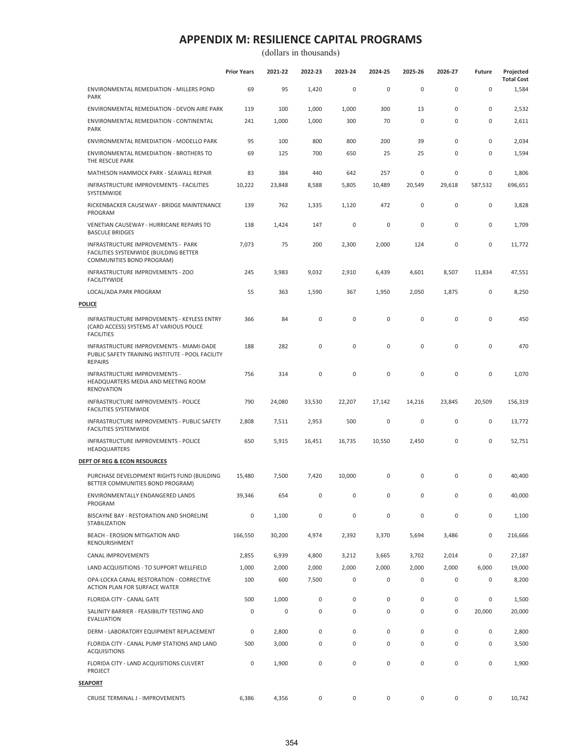|                                                                                                                | <b>Prior Years</b> | 2021-22     | 2022-23  | 2023-24     | 2024-25     | 2025-26      | 2026-27     | <b>Future</b> | Projected<br><b>Total Cost</b> |
|----------------------------------------------------------------------------------------------------------------|--------------------|-------------|----------|-------------|-------------|--------------|-------------|---------------|--------------------------------|
| ENVIRONMENTAL REMEDIATION - MILLERS POND<br><b>PARK</b>                                                        | 69                 | 95          | 1,420    | $\mathsf 0$ | $\pmb{0}$   | 0            | 0           | $\mathsf 0$   | 1,584                          |
| ENVIRONMENTAL REMEDIATION - DEVON AIRE PARK                                                                    | 119                | 100         | 1,000    | 1,000       | 300         | 13           | 0           | 0             | 2,532                          |
| ENVIRONMENTAL REMEDIATION - CONTINENTAL<br><b>PARK</b>                                                         | 241                | 1,000       | 1,000    | 300         | 70          | $\mathbf 0$  | $\mathbf 0$ | 0             | 2,611                          |
| ENVIRONMENTAL REMEDIATION - MODELLO PARK                                                                       | 95                 | 100         | 800      | 800         | 200         | 39           | 0           | 0             | 2,034                          |
| ENVIRONMENTAL REMEDIATION - BROTHERS TO<br>THE RESCUE PARK                                                     | 69                 | 125         | 700      | 650         | 25          | 25           | 0           | 0             | 1,594                          |
| MATHESON HAMMOCK PARK - SEAWALL REPAIR                                                                         | 83                 | 384         | 440      | 642         | 257         | $\mathbf 0$  | 0           | 0             | 1,806                          |
| INFRASTRUCTURE IMPROVEMENTS - FACILITIES<br>SYSTEMWIDE                                                         | 10,222             | 23,848      | 8,588    | 5,805       | 10,489      | 20,549       | 29,618      | 587,532       | 696,651                        |
| RICKENBACKER CAUSEWAY - BRIDGE MAINTENANCE<br>PROGRAM                                                          | 139                | 762         | 1,335    | 1,120       | 472         | 0            | 0           | 0             | 3,828                          |
| VENETIAN CAUSEWAY - HURRICANE REPAIRS TO<br><b>BASCULE BRIDGES</b>                                             | 138                | 1,424       | 147      | $\mathbf 0$ | $\mathbf 0$ | $\mathbf 0$  | 0           | 0             | 1,709                          |
| INFRASTRUCTURE IMPROVEMENTS - PARK<br>FACILITIES SYSTEMWIDE (BUILDING BETTER<br>COMMUNITIES BOND PROGRAM)      | 7,073              | 75          | 200      | 2,300       | 2,000       | 124          | 0           | 0             | 11,772                         |
| INFRASTRUCTURE IMPROVEMENTS - ZOO<br><b>FACILITYWIDE</b>                                                       | 245                | 3,983       | 9,032    | 2,910       | 6,439       | 4,601        | 8,507       | 11,834        | 47,551                         |
| LOCAL/ADA PARK PROGRAM                                                                                         | 55                 | 363         | 1,590    | 367         | 1,950       | 2,050        | 1,875       | 0             | 8,250                          |
| <b>POLICE</b>                                                                                                  |                    |             |          |             |             |              |             |               |                                |
| INFRASTRUCTURE IMPROVEMENTS - KEYLESS ENTRY<br>(CARD ACCESS) SYSTEMS AT VARIOUS POLICE<br><b>FACILITIES</b>    | 366                | 84          | 0        | 0           | 0           | 0            | 0           | 0             | 450                            |
| INFRASTRUCTURE IMPROVEMENTS - MIAMI-DADE<br>PUBLIC SAFETY TRAINING INSTITUTE - POOL FACILITY<br><b>REPAIRS</b> | 188                | 282         | 0        | 0           | $\pmb{0}$   | 0            | 0           | 0             | 470                            |
| INFRASTRUCTURE IMPROVEMENTS -<br>HEADQUARTERS MEDIA AND MEETING ROOM<br><b>RENOVATION</b>                      | 756                | 314         | 0        | 0           | 0           | $\pmb{0}$    | 0           | 0             | 1,070                          |
| INFRASTRUCTURE IMPROVEMENTS - POLICE<br><b>FACILITIES SYSTEMWIDE</b>                                           | 790                | 24,080      | 33,530   | 22,207      | 17,142      | 14,216       | 23,845      | 20,509        | 156,319                        |
| INFRASTRUCTURE IMPROVEMENTS - PUBLIC SAFETY<br><b>FACILITIES SYSTEMWIDE</b>                                    | 2,808              | 7,511       | 2,953    | 500         | $\mathbf 0$ | $\pmb{0}$    | 0           | 0             | 13,772                         |
| INFRASTRUCTURE IMPROVEMENTS - POLICE<br>HEADQUARTERS                                                           | 650                | 5,915       | 16,451   | 16,735      | 10,550      | 2,450        | 0           | 0             | 52,751                         |
| DEPT OF REG & ECON RESOURCES                                                                                   |                    |             |          |             |             |              |             |               |                                |
| PURCHASE DEVELOPMENT RIGHTS FUND (BUILDING<br>BETTER COMMUNITIES BOND PROGRAM)                                 | 15,480             | 7,500       | 7,420    | 10,000      | 0           | $\mathbf{0}$ | $\mathbf 0$ | 0             | 40,400                         |
| ENVIRONMENTALLY ENDANGERED LANDS<br>PROGRAM                                                                    | 39,346             | 654         | $\Omega$ | $\Omega$    | $\Omega$    | $\cap$       | 0           | 0             | 40,000                         |
| BISCAYNE BAY - RESTORATION AND SHORELINE<br>STABILIZATION                                                      | $\mathbf 0$        | 1,100       | 0        | $\mathsf 0$ | $\pmb{0}$   | 0            | 0           | 0             | 1,100                          |
| BEACH - EROSION MITIGATION AND<br>RENOURISHMENT                                                                | 166,550            | 30,200      | 4,974    | 2,392       | 3,370       | 5,694        | 3,486       | 0             | 216,666                        |
| <b>CANAL IMPROVEMENTS</b>                                                                                      | 2,855              | 6,939       | 4,800    | 3,212       | 3,665       | 3,702        | 2,014       | 0             | 27,187                         |
| LAND ACQUISITIONS - TO SUPPORT WELLFIELD                                                                       | 1,000              | 2,000       | 2,000    | 2,000       | 2,000       | 2,000        | 2,000       | 6,000         | 19,000                         |
| OPA-LOCKA CANAL RESTORATION - CORRECTIVE<br>ACTION PLAN FOR SURFACE WATER                                      | 100                | 600         | 7,500    | 0           | 0           | 0            | 0           | 0             | 8,200                          |
| FLORIDA CITY - CANAL GATE                                                                                      | 500                | 1,000       | 0        | 0           | 0           | 0            | 0           | 0             | 1,500                          |
| SALINITY BARRIER - FEASIBILITY TESTING AND<br><b>EVALUATION</b>                                                | 0                  | $\mathsf 0$ | 0        | 0           | $\pmb{0}$   | 0            | 0           | 20,000        | 20,000                         |
| DERM - LABORATORY EQUIPMENT REPLACEMENT                                                                        | $\mathbf 0$        | 2,800       | 0        | $\mathbf 0$ | $\pmb{0}$   | $\mathbf 0$  | $\mathbf 0$ | 0             | 2,800                          |
| FLORIDA CITY - CANAL PUMP STATIONS AND LAND<br><b>ACQUISITIONS</b>                                             | 500                | 3,000       | 0        | $\mathsf 0$ | $\pmb{0}$   | 0            | 0           | 0             | 3,500                          |
| FLORIDA CITY - LAND ACQUISITIONS CULVERT<br>PROJECT                                                            | 0                  | 1,900       | 0        | 0           | $\pmb{0}$   | 0            | 0           | 0             | 1,900                          |
| <b>SEAPORT</b>                                                                                                 |                    |             |          |             |             |              |             |               |                                |
| CRUISE TERMINAL J - IMPROVEMENTS                                                                               | 6,386              | 4,356       | 0        | 0           | 0           | 0            | 0           | 0             | 10,742                         |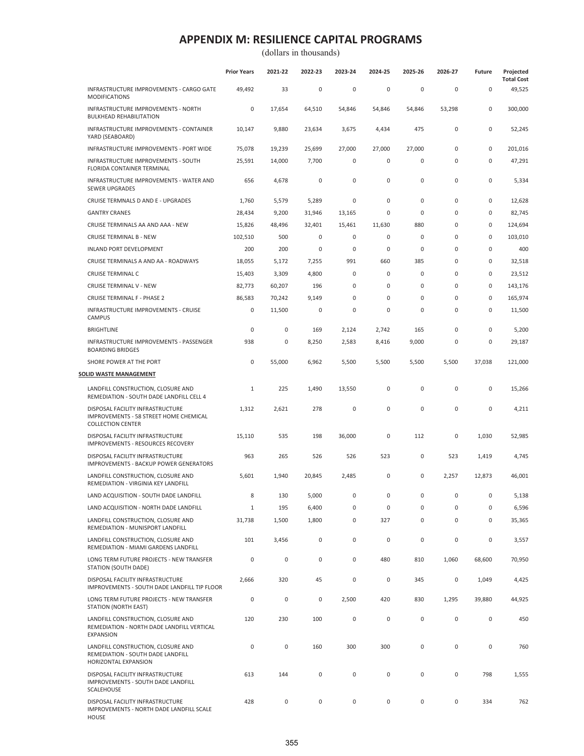|                                                                                                        | <b>Prior Years</b> | 2021-22     | 2022-23     | 2023-24     | 2024-25     | 2025-26     | 2026-27     | Future              | Projected<br><b>Total Cost</b> |
|--------------------------------------------------------------------------------------------------------|--------------------|-------------|-------------|-------------|-------------|-------------|-------------|---------------------|--------------------------------|
| INFRASTRUCTURE IMPROVEMENTS - CARGO GATE<br><b>MODIFICATIONS</b>                                       | 49,492             | 33          | $\bf 0$     | $\mathsf 0$ | 0           | $\pmb{0}$   | $\pmb{0}$   | $\mathsf{O}\xspace$ | 49,525                         |
| INFRASTRUCTURE IMPROVEMENTS - NORTH<br><b>BULKHEAD REHABILITATION</b>                                  | 0                  | 17,654      | 64,510      | 54,846      | 54,846      | 54,846      | 53,298      | $\mathsf{O}\xspace$ | 300,000                        |
| INFRASTRUCTURE IMPROVEMENTS - CONTAINER<br>YARD (SEABOARD)                                             | 10,147             | 9,880       | 23,634      | 3,675       | 4,434       | 475         | $\pmb{0}$   | 0                   | 52,245                         |
| INFRASTRUCTURE IMPROVEMENTS - PORT WIDE                                                                | 75,078             | 19,239      | 25,699      | 27,000      | 27,000      | 27,000      | $\pmb{0}$   | 0                   | 201,016                        |
| INFRASTRUCTURE IMPROVEMENTS - SOUTH<br><b>FLORIDA CONTAINER TERMINAL</b>                               | 25,591             | 14,000      | 7,700       | $\mathsf 0$ | 0           | $\mathbf 0$ | 0           | 0                   | 47,291                         |
| <b>INFRASTRUCTURE IMPROVEMENTS - WATER AND</b><br><b>SEWER UPGRADES</b>                                | 656                | 4,678       | 0           | $\mathsf 0$ | 0           | $\pmb{0}$   | $\pmb{0}$   | 0                   | 5,334                          |
| CRUISE TERMNALS D AND E - UPGRADES                                                                     | 1,760              | 5,579       | 5,289       | $\mathbf 0$ | 0           | $\pmb{0}$   | $\mathbf 0$ | 0                   | 12,628                         |
| <b>GANTRY CRANES</b>                                                                                   | 28,434             | 9,200       | 31,946      | 13,165      | 0           | $\mathbf 0$ | 0           | 0                   | 82,745                         |
| CRUISE TERMINALS AA AND AAA - NEW                                                                      | 15,826             | 48,496      | 32,401      | 15,461      | 11,630      | 880         | 0           | 0                   | 124,694                        |
| <b>CRUISE TERMINAL B - NEW</b>                                                                         | 102,510            | 500         | $\bf 0$     | $\mathsf 0$ | 0           | $\pmb{0}$   | 0           | $\mathsf{O}\xspace$ | 103,010                        |
| INLAND PORT DEVELOPMENT                                                                                | 200                | 200         | 0           | $\mathsf 0$ | 0           | $\mathbf 0$ | 0           | $\mathsf{O}\xspace$ | 400                            |
| CRUISE TERMINALS A AND AA - ROADWAYS                                                                   | 18,055             | 5,172       | 7,255       | 991         | 660         | 385         | $\pmb{0}$   | $\mathsf{O}\xspace$ | 32,518                         |
| <b>CRUISE TERMINAL C</b>                                                                               | 15,403             | 3,309       | 4,800       | 0           | 0           | 0           | 0           | 0                   | 23,512                         |
| CRUISE TERMINAL V - NEW                                                                                | 82,773             | 60,207      | 196         | $\mathsf 0$ | 0           | $\pmb{0}$   | $\pmb{0}$   | $\mathsf{O}\xspace$ | 143,176                        |
| <b>CRUISE TERMINAL F - PHASE 2</b>                                                                     | 86,583             | 70,242      | 9,149       | $\mathbf 0$ | 0           | 0           | 0           | 0                   | 165,974                        |
| INFRASTRUCTURE IMPROVEMENTS - CRUISE<br><b>CAMPUS</b>                                                  | 0                  | 11,500      | $\bf 0$     | $\mathsf 0$ | 0           | $\mathbf 0$ | 0           | $\mathsf 0$         | 11,500                         |
| <b>BRIGHTLINE</b>                                                                                      | 0                  | $\mathsf 0$ | 169         | 2,124       | 2,742       | 165         | 0           | $\mathsf 0$         | 5,200                          |
| INFRASTRUCTURE IMPROVEMENTS - PASSENGER<br><b>BOARDING BRIDGES</b>                                     | 938                | 0           | 8,250       | 2,583       | 8,416       | 9,000       | 0           | 0                   | 29,187                         |
| SHORE POWER AT THE PORT                                                                                | 0                  | 55,000      | 6,962       | 5,500       | 5,500       | 5,500       | 5,500       | 37,038              | 121,000                        |
| SOLID WASTE MANAGEMENT                                                                                 |                    |             |             |             |             |             |             |                     |                                |
| LANDFILL CONSTRUCTION, CLOSURE AND<br>REMEDIATION - SOUTH DADE LANDFILL CELL 4                         | 1                  | 225         | 1,490       | 13,550      | 0           | $\pmb{0}$   | 0           | $\mathsf 0$         | 15,266                         |
| DISPOSAL FACILITY INFRASTRUCTURE<br>IMPROVEMENTS - 58 STREET HOME CHEMICAL<br><b>COLLECTION CENTER</b> | 1,312              | 2,621       | 278         | $\mathsf 0$ | 0           | $\pmb{0}$   | 0           | 0                   | 4,211                          |
| DISPOSAL FACILITY INFRASTRUCTURE<br>IMPROVEMENTS - RESOURCES RECOVERY                                  | 15,110             | 535         | 198         | 36,000      | 0           | 112         | 0           | 1,030               | 52,985                         |
| DISPOSAL FACILITY INFRASTRUCTURE<br><b>IMPROVEMENTS - BACKUP POWER GENERATORS</b>                      | 963                | 265         | 526         | 526         | 523         | $\pmb{0}$   | 523         | 1,419               | 4,745                          |
| LANDFILL CONSTRUCTION, CLOSURE AND<br>REMEDIATION - VIRGINIA KEY LANDFILL                              | 5,601              | 1,940       | 20,845      | 2,485       | 0           | $\mathbf 0$ | 2,257       | 12,873              | 46,001                         |
| LAND ACQUISITION - SOUTH DADE LANDFILL                                                                 | 8                  | 130         | 5,000       | 0           | $\Omega$    | $\Omega$    | $\Omega$    | $\cap$              | 5,138                          |
| LAND ACQUISITION - NORTH DADE LANDFILL                                                                 | 1                  | 195         | 6,400       | $\mathsf 0$ | 0           | $\mathbf 0$ | 0           | $\mathsf 0$         | 6,596                          |
| LANDFILL CONSTRUCTION, CLOSURE AND<br>REMEDIATION - MUNISPORT LANDFILL                                 | 31,738             | 1,500       | 1,800       | $\mathsf 0$ | 327         | $\pmb{0}$   | $\pmb{0}$   | 0                   | 35,365                         |
| LANDFILL CONSTRUCTION, CLOSURE AND<br>REMEDIATION - MIAMI GARDENS LANDFILL                             | 101                | 3,456       | $\mathbf 0$ | $\mathbf 0$ | 0           | $\mathbf 0$ | 0           | 0                   | 3,557                          |
| LONG TERM FUTURE PROJECTS - NEW TRANSFER<br>STATION (SOUTH DADE)                                       | 0                  | $\mathsf 0$ | 0           | $\mathbf 0$ | 480         | 810         | 1,060       | 68,600              | 70,950                         |
| DISPOSAL FACILITY INFRASTRUCTURE<br>IMPROVEMENTS - SOUTH DADE LANDFILL TIP FLOOR                       | 2,666              | 320         | 45          | $\mathsf 0$ | $\mathbf 0$ | 345         | $\pmb{0}$   | 1,049               | 4,425                          |
| LONG TERM FUTURE PROJECTS - NEW TRANSFER<br>STATION (NORTH EAST)                                       | 0                  | $\mathsf 0$ | $\mathsf 0$ | 2,500       | 420         | 830         | 1,295       | 39,880              | 44,925                         |
| LANDFILL CONSTRUCTION, CLOSURE AND<br>REMEDIATION - NORTH DADE LANDFILL VERTICAL<br><b>EXPANSION</b>   | 120                | 230         | 100         | $\mathsf 0$ | $\mathbf 0$ | $\pmb{0}$   | 0           | $\mathsf 0$         | 450                            |
| LANDFILL CONSTRUCTION, CLOSURE AND<br>REMEDIATION - SOUTH DADE LANDFILL<br>HORIZONTAL EXPANSION        | $\pmb{0}$          | $\mathsf 0$ | 160         | 300         | 300         | $\pmb{0}$   | 0           | 0                   | 760                            |
| DISPOSAL FACILITY INFRASTRUCTURE<br>IMPROVEMENTS - SOUTH DADE LANDFILL<br>SCALEHOUSE                   | 613                | 144         | 0           | $\mathsf 0$ | 0           | $\pmb{0}$   | 0           | 798                 | 1,555                          |
| DISPOSAL FACILITY INFRASTRUCTURE<br>IMPROVEMENTS - NORTH DADE LANDFILL SCALE<br><b>HOUSE</b>           | 428                | $\pmb{0}$   | 0           | $\mathsf 0$ | 0           | $\pmb{0}$   | 0           | 334                 | 762                            |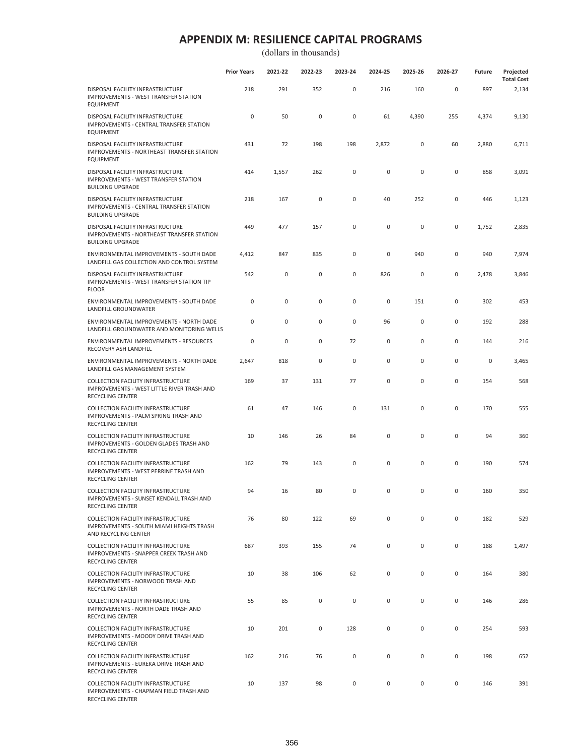(dollars in thousands)

|                                                                                                                 | <b>Prior Years</b> | 2021-22 | 2022-23     | 2023-24     | 2024-25   | 2025-26     | 2026-27 | <b>Future</b> | Projected<br><b>Total Cost</b> |
|-----------------------------------------------------------------------------------------------------------------|--------------------|---------|-------------|-------------|-----------|-------------|---------|---------------|--------------------------------|
| DISPOSAL FACILITY INFRASTRUCTURE<br>IMPROVEMENTS - WEST TRANSFER STATION<br><b>EQUIPMENT</b>                    | 218                | 291     | 352         | $\mathsf 0$ | 216       | 160         | 0       | 897           | 2,134                          |
| DISPOSAL FACILITY INFRASTRUCTURE<br>IMPROVEMENTS - CENTRAL TRANSFER STATION<br><b>EQUIPMENT</b>                 | 0                  | 50      | 0           | 0           | 61        | 4,390       | 255     | 4,374         | 9,130                          |
| DISPOSAL FACILITY INFRASTRUCTURE<br>IMPROVEMENTS - NORTHEAST TRANSFER STATION<br><b>EQUIPMENT</b>               | 431                | 72      | 198         | 198         | 2,872     | 0           | 60      | 2,880         | 6,711                          |
| DISPOSAL FACILITY INFRASTRUCTURE<br><b>IMPROVEMENTS - WEST TRANSFER STATION</b><br><b>BUILDING UPGRADE</b>      | 414                | 1,557   | 262         | 0           | 0         | $\pmb{0}$   | 0       | 858           | 3,091                          |
| DISPOSAL FACILITY INFRASTRUCTURE<br>IMPROVEMENTS - CENTRAL TRANSFER STATION<br><b>BUILDING UPGRADE</b>          | 218                | 167     | 0           | 0           | 40        | 252         | 0       | 446           | 1,123                          |
| DISPOSAL FACILITY INFRASTRUCTURE<br>IMPROVEMENTS - NORTHEAST TRANSFER STATION<br><b>BUILDING UPGRADE</b>        | 449                | 477     | 157         | 0           | 0         | 0           | 0       | 1,752         | 2,835                          |
| ENVIRONMENTAL IMPROVEMENTS - SOUTH DADE<br>LANDFILL GAS COLLECTION AND CONTROL SYSTEM                           | 4,412              | 847     | 835         | 0           | 0         | 940         | 0       | 940           | 7,974                          |
| DISPOSAL FACILITY INFRASTRUCTURE<br>IMPROVEMENTS - WEST TRANSFER STATION TIP<br><b>FLOOR</b>                    | 542                | 0       | 0           | 0           | 826       | 0           | 0       | 2,478         | 3,846                          |
| ENVIRONMENTAL IMPROVEMENTS - SOUTH DADE<br>LANDFILL GROUNDWATER                                                 | 0                  | 0       | 0           | 0           | 0         | 151         | 0       | 302           | 453                            |
| ENVIRONMENTAL IMPROVEMENTS - NORTH DADE<br>LANDFILL GROUNDWATER AND MONITORING WELLS                            | 0                  | 0       | 0           | 0           | 96        | 0           | 0       | 192           | 288                            |
| ENVIRONMENTAL IMPROVEMENTS - RESOURCES<br>RECOVERY ASH LANDFILL                                                 | 0                  | 0       | 0           | 72          | 0         | 0           | 0       | 144           | 216                            |
| ENVIRONMENTAL IMPROVEMENTS - NORTH DADE<br>LANDFILL GAS MANAGEMENT SYSTEM                                       | 2,647              | 818     | $\mathbf 0$ | 0           | 0         | $\pmb{0}$   | 0       | 0             | 3,465                          |
| COLLECTION FACILITY INFRASTRUCTURE<br>IMPROVEMENTS - WEST LITTLE RIVER TRASH AND<br><b>RECYCLING CENTER</b>     | 169                | 37      | 131         | 77          | $\pmb{0}$ | 0           | 0       | 154           | 568                            |
| COLLECTION FACILITY INFRASTRUCTURE<br>IMPROVEMENTS - PALM SPRING TRASH AND<br><b>RECYCLING CENTER</b>           | 61                 | 47      | 146         | 0           | 131       | $\pmb{0}$   | 0       | 170           | 555                            |
| <b>COLLECTION FACILITY INFRASTRUCTURE</b><br>IMPROVEMENTS - GOLDEN GLADES TRASH AND<br><b>RECYCLING CENTER</b>  | 10                 | 146     | 26          | 84          | 0         | 0           | 0       | 94            | 360                            |
| COLLECTION FACILITY INFRASTRUCTURE<br>IMPROVEMENTS - WEST PERRINE TRASH AND<br><b>RECYCLING CENTER</b>          | 162                | 79      | 143         | 0           | 0         | 0           | 0       | 190           | 574                            |
| <b>COLLECTION FACILITY INFRASTRUCTURE</b><br>IMPROVEMENTS - SUNSET KENDALL TRASH AND<br><b>RECYCLING CENTER</b> | 94                 | 16      | 80          | 0           | 0         | 0           | 0       | 160           | 350                            |
| COLLECTION FACILITY INFRASTRUCTURE<br>IMPROVEMENTS - SOUTH MIAMI HEIGHTS TRASH<br>AND RECYCLING CENTER          | 76                 | 80      | 122         | 69          | 0         | 0           | 0       | 182           | 529                            |
| COLLECTION FACILITY INFRASTRUCTURE<br>IMPROVEMENTS - SNAPPER CREEK TRASH AND<br><b>RECYCLING CENTER</b>         | 687                | 393     | 155         | 74          | 0         | 0           | 0       | 188           | 1,497                          |
| <b>COLLECTION FACILITY INFRASTRUCTURE</b><br>IMPROVEMENTS - NORWOOD TRASH AND<br>RECYCLING CENTER               | 10                 | 38      | 106         | 62          | 0         | $\mathbf 0$ | 0       | 164           | 380                            |
| COLLECTION FACILITY INFRASTRUCTURE<br>IMPROVEMENTS - NORTH DADE TRASH AND<br>RECYCLING CENTER                   | 55                 | 85      | 0           | 0           | 0         | 0           | 0       | 146           | 286                            |
| COLLECTION FACILITY INFRASTRUCTURE<br>IMPROVEMENTS - MOODY DRIVE TRASH AND<br>RECYCLING CENTER                  | 10                 | 201     | 0           | 128         | 0         | 0           | 0       | 254           | 593                            |
| COLLECTION FACILITY INFRASTRUCTURE<br>IMPROVEMENTS - EUREKA DRIVE TRASH AND<br><b>RECYCLING CENTER</b>          | 162                | 216     | 76          | 0           | 0         | 0           | 0       | 198           | 652                            |
| COLLECTION FACILITY INFRASTRUCTURE<br>IMPROVEMENTS - CHAPMAN FIELD TRASH AND                                    | 10                 | 137     | 98          | 0           | 0         | 0           | 0       | 146           | 391                            |

RECYCLING CENTER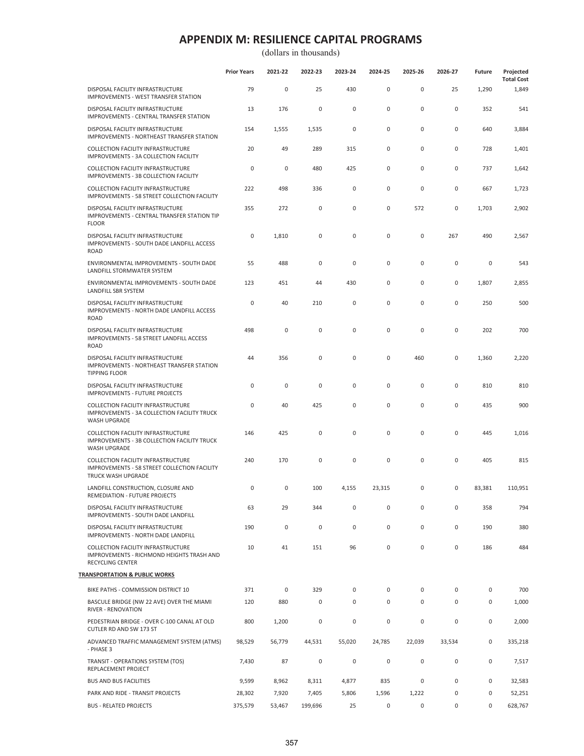|                                                                                                                 | <b>Prior Years</b> | 2021-22     | 2022-23     | 2023-24     | 2024-25   | 2025-26      | 2026-27     | Future | Projected<br><b>Total Cost</b> |
|-----------------------------------------------------------------------------------------------------------------|--------------------|-------------|-------------|-------------|-----------|--------------|-------------|--------|--------------------------------|
| DISPOSAL FACILITY INFRASTRUCTURE<br>IMPROVEMENTS - WEST TRANSFER STATION                                        | 79                 | 0           | 25          | 430         | $\pmb{0}$ | $\mathsf 0$  | 25          | 1,290  | 1,849                          |
| DISPOSAL FACILITY INFRASTRUCTURE<br>IMPROVEMENTS - CENTRAL TRANSFER STATION                                     | 13                 | 176         | $\mathbf 0$ | $\mathsf 0$ | 0         | $\mathbf 0$  | $\pmb{0}$   | 352    | 541                            |
| DISPOSAL FACILITY INFRASTRUCTURE<br><b>IMPROVEMENTS - NORTHEAST TRANSFER STATION</b>                            | 154                | 1,555       | 1,535       | $\mathsf 0$ | 0         | $\pmb{0}$    | $\pmb{0}$   | 640    | 3,884                          |
| COLLECTION FACILITY INFRASTRUCTURE<br>IMPROVEMENTS - 3A COLLECTION FACILITY                                     | 20                 | 49          | 289         | 315         | $\pmb{0}$ | $\pmb{0}$    | $\pmb{0}$   | 728    | 1,401                          |
| COLLECTION FACILITY INFRASTRUCTURE<br>IMPROVEMENTS - 3B COLLECTION FACILITY                                     | $\mathbf 0$        | 0           | 480         | 425         | $\pmb{0}$ | $\pmb{0}$    | $\pmb{0}$   | 737    | 1,642                          |
| <b>COLLECTION FACILITY INFRASTRUCTURE</b><br>IMPROVEMENTS - 58 STREET COLLECTION FACILITY                       | 222                | 498         | 336         | 0           | 0         | 0            | 0           | 667    | 1,723                          |
| DISPOSAL FACILITY INFRASTRUCTURE<br>IMPROVEMENTS - CENTRAL TRANSFER STATION TIP<br><b>FLOOR</b>                 | 355                | 272         | 0           | $\mathbf 0$ | 0         | 572          | 0           | 1,703  | 2,902                          |
| DISPOSAL FACILITY INFRASTRUCTURE<br>IMPROVEMENTS - SOUTH DADE LANDFILL ACCESS<br><b>ROAD</b>                    | $\mathbf 0$        | 1,810       | $\mathsf 0$ | 0           | 0         | $\pmb{0}$    | 267         | 490    | 2,567                          |
| ENVIRONMENTAL IMPROVEMENTS - SOUTH DADE<br>LANDFILL STORMWATER SYSTEM                                           | 55                 | 488         | $\mathbf 0$ | 0           | $\pmb{0}$ | $\mathbf 0$  | $\mathbf 0$ | 0      | 543                            |
| ENVIRONMENTAL IMPROVEMENTS - SOUTH DADE<br>LANDFILL SBR SYSTEM                                                  | 123                | 451         | 44          | 430         | $\pmb{0}$ | $\pmb{0}$    | $\pmb{0}$   | 1,807  | 2,855                          |
| DISPOSAL FACILITY INFRASTRUCTURE<br>IMPROVEMENTS - NORTH DADE LANDFILL ACCESS<br><b>ROAD</b>                    | $\mathbf 0$        | 40          | 210         | $\mathbf 0$ | 0         | $\mathbf 0$  | $\mathbf 0$ | 250    | 500                            |
| DISPOSAL FACILITY INFRASTRUCTURE<br>IMPROVEMENTS - 58 STREET LANDFILL ACCESS<br><b>ROAD</b>                     | 498                | 0           | $\mathsf 0$ | 0           | 0         | 0            | $\pmb{0}$   | 202    | 700                            |
| DISPOSAL FACILITY INFRASTRUCTURE<br>IMPROVEMENTS - NORTHEAST TRANSFER STATION<br><b>TIPPING FLOOR</b>           | 44                 | 356         | 0           | 0           | 0         | 460          | $\pmb{0}$   | 1,360  | 2,220                          |
| DISPOSAL FACILITY INFRASTRUCTURE<br><b>IMPROVEMENTS - FUTURE PROJECTS</b>                                       | $\mathbf 0$        | 0           | $\mathbf 0$ | $\mathsf 0$ | $\pmb{0}$ | $\mathsf 0$  | $\pmb{0}$   | 810    | 810                            |
| COLLECTION FACILITY INFRASTRUCTURE<br>IMPROVEMENTS - 3A COLLECTION FACILITY TRUCK<br>WASH UPGRADE               | $\mathbf 0$        | 40          | 425         | 0           | $\pmb{0}$ | $\pmb{0}$    | $\pmb{0}$   | 435    | 900                            |
| COLLECTION FACILITY INFRASTRUCTURE<br>IMPROVEMENTS - 3B COLLECTION FACILITY TRUCK<br>WASH UPGRADE               | 146                | 425         | 0           | 0           | 0         | 0            | $\pmb{0}$   | 445    | 1,016                          |
| <b>COLLECTION FACILITY INFRASTRUCTURE</b><br>IMPROVEMENTS - 58 STREET COLLECTION FACILITY<br>TRUCK WASH UPGRADE | 240                | 170         | 0           | $\mathbf 0$ | 0         | 0            | 0           | 405    | 815                            |
| LANDFILL CONSTRUCTION, CLOSURE AND<br>REMEDIATION - FUTURE PROJECTS                                             | 0                  | 0           | 100         | 4,155       | 23,315    | $\mathbf{0}$ | 0           | 83,381 | 110,951                        |
| DISPOSAL FACILITY INFRASTRUCTURE<br>IMPROVEMENTS - SOUTH DADE LANDFILL                                          | 63                 | 29          | 344         | 0           | 0         | 0            | 0           | 358    | 794                            |
| DISPOSAL FACILITY INFRASTRUCTURE<br>IMPROVEMENTS - NORTH DADE LANDFILL                                          | 190                | $\mathbf 0$ | $\mathbf 0$ | $\mathbf 0$ | 0         | $\mathbf 0$  | $\mathbf 0$ | 190    | 380                            |
| COLLECTION FACILITY INFRASTRUCTURE<br>IMPROVEMENTS - RICHMOND HEIGHTS TRASH AND<br>RECYCLING CENTER             | 10                 | 41          | 151         | 96          | 0         | $\mathsf 0$  | $\mathsf 0$ | 186    | 484                            |
| TRANSPORTATION & PUBLIC WORKS                                                                                   |                    |             |             |             |           |              |             |        |                                |
| BIKE PATHS - COMMISSION DISTRICT 10                                                                             | 371                | 0           | 329         | 0           | 0         | $\mathbf 0$  | 0           | 0      | 700                            |
| BASCULE BRIDGE (NW 22 AVE) OVER THE MIAMI<br>RIVER - RENOVATION                                                 | 120                | 880         | $\mathsf 0$ | 0           | 0         | $\mathbf 0$  | $\pmb{0}$   | 0      | 1,000                          |
| PEDESTRIAN BRIDGE - OVER C-100 CANAL AT OLD<br>CUTLER RD AND SW 173 ST                                          | 800                | 1,200       | 0           | $\mathsf 0$ | 0         | 0            | $\pmb{0}$   | 0      | 2,000                          |
| ADVANCED TRAFFIC MANAGEMENT SYSTEM (ATMS)<br>- PHASE 3                                                          | 98,529             | 56,779      | 44,531      | 55,020      | 24,785    | 22,039       | 33,534      | 0      | 335,218                        |
| TRANSIT - OPERATIONS SYSTEM (TOS)<br>REPLACEMENT PROJECT                                                        | 7,430              | 87          | $\mathsf 0$ | $\pmb{0}$   | $\pmb{0}$ | $\mathsf 0$  | $\mathbf 0$ | 0      | 7,517                          |
| <b>BUS AND BUS FACILITIES</b>                                                                                   | 9,599              | 8,962       | 8,311       | 4,877       | 835       | $\mathsf 0$  | $\pmb{0}$   | 0      | 32,583                         |
| PARK AND RIDE - TRANSIT PROJECTS                                                                                | 28,302             | 7,920       | 7,405       | 5,806       | 1,596     | 1,222        | $\pmb{0}$   | 0      | 52,251                         |
| <b>BUS - RELATED PROJECTS</b>                                                                                   | 375,579            | 53,467      | 199,696     | 25          | 0         | $\mathsf 0$  | 0           | 0      | 628,767                        |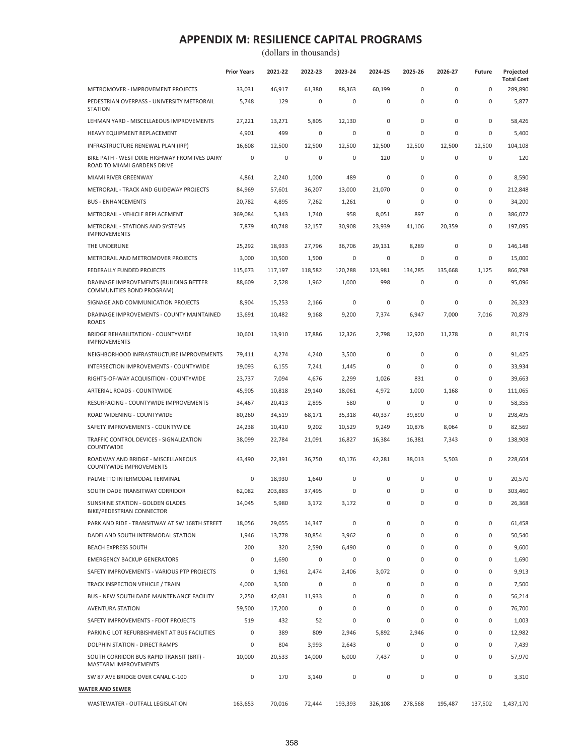|                                                                               | <b>Prior Years</b> | 2021-22 | 2022-23     | 2023-24     | 2024-25      | 2025-26     | 2026-27     | <b>Future</b>       | Projected<br><b>Total Cost</b> |
|-------------------------------------------------------------------------------|--------------------|---------|-------------|-------------|--------------|-------------|-------------|---------------------|--------------------------------|
| METROMOVER - IMPROVEMENT PROJECTS                                             | 33,031             | 46,917  | 61,380      | 88,363      | 60,199       | $\mathbf 0$ | $\mathbf 0$ | $\mathbf 0$         | 289,890                        |
| PEDESTRIAN OVERPASS - UNIVERSITY METRORAIL<br><b>STATION</b>                  | 5,748              | 129     | $\mathsf 0$ | 0           | 0            | $\pmb{0}$   | $\pmb{0}$   | $\mathsf{O}\xspace$ | 5,877                          |
| LEHMAN YARD - MISCELLAEOUS IMPROVEMENTS                                       | 27,221             | 13,271  | 5,805       | 12,130      | 0            | $\mathbf 0$ | 0           | $\mathsf{O}\xspace$ | 58,426                         |
| HEAVY EQUIPMENT REPLACEMENT                                                   | 4,901              | 499     | 0           | 0           | 0            | $\mathbf 0$ | 0           | 0                   | 5,400                          |
| INFRASTRUCTURE RENEWAL PLAN (IRP)                                             | 16,608             | 12,500  | 12,500      | 12,500      | 12,500       | 12,500      | 12,500      | 12,500              | 104,108                        |
| BIKE PATH - WEST DIXIE HIGHWAY FROM IVES DAIRY<br>ROAD TO MIAMI GARDENS DRIVE | 0                  | 0       | $\bf 0$     | 0           | 120          | 0           | 0           | $\mathsf{O}\xspace$ | 120                            |
| MIAMI RIVER GREENWAY                                                          | 4,861              | 2,240   | 1,000       | 489         | 0            | $\mathbf 0$ | $\pmb{0}$   | $\mathsf{O}\xspace$ | 8,590                          |
| METRORAIL - TRACK AND GUIDEWAY PROJECTS                                       | 84,969             | 57,601  | 36,207      | 13,000      | 21,070       | 0           | $\pmb{0}$   | $\mathsf{O}\xspace$ | 212,848                        |
| <b>BUS - ENHANCEMENTS</b>                                                     | 20,782             | 4,895   | 7,262       | 1,261       | 0            | $\mathbf 0$ | $\mathbf 0$ | $\mathsf{O}\xspace$ | 34,200                         |
| METRORAIL - VEHICLE REPLACEMENT                                               | 369,084            | 5,343   | 1,740       | 958         | 8,051        | 897         | $\mathbf 0$ | $\mathbf 0$         | 386,072                        |
| METRORAIL - STATIONS AND SYSTEMS<br><b>IMPROVEMENTS</b>                       | 7,879              | 40,748  | 32,157      | 30,908      | 23,939       | 41,106      | 20,359      | 0                   | 197,095                        |
| THE UNDERLINE                                                                 | 25,292             | 18,933  | 27,796      | 36,706      | 29,131       | 8,289       | $\pmb{0}$   | $\mathsf{O}\xspace$ | 146,148                        |
| METRORAIL AND METROMOVER PROJECTS                                             | 3,000              | 10,500  | 1,500       | 0           | 0            | $\mathbf 0$ | 0           | 0                   | 15,000                         |
| FEDERALLY FUNDED PROJECTS                                                     | 115,673            | 117,197 | 118,582     | 120,288     | 123,981      | 134,285     | 135,668     | 1,125               | 866,798                        |
| DRAINAGE IMPROVEMENTS (BUILDING BETTER<br>COMMUNITIES BOND PROGRAM)           | 88,609             | 2,528   | 1,962       | 1,000       | 998          | 0           | 0           | $\mathbf 0$         | 95,096                         |
| SIGNAGE AND COMMUNICATION PROJECTS                                            | 8,904              | 15,253  | 2,166       | 0           | $\mathbf 0$  | $\mathbf 0$ | 0           | $\mathbf 0$         | 26,323                         |
| DRAINAGE IMPROVEMENTS - COUNTY MAINTAINED<br><b>ROADS</b>                     | 13,691             | 10,482  | 9,168       | 9,200       | 7,374        | 6,947       | 7,000       | 7,016               | 70,879                         |
| <b>BRIDGE REHABILITATION - COUNTYWIDE</b><br><b>IMPROVEMENTS</b>              | 10,601             | 13,910  | 17,886      | 12,326      | 2,798        | 12,920      | 11,278      | $\mathsf{O}\xspace$ | 81,719                         |
| NEIGHBORHOOD INFRASTRUCTURE IMPROVEMENTS                                      | 79,411             | 4,274   | 4,240       | 3,500       | 0            | 0           | 0           | $\mathbf 0$         | 91,425                         |
| INTERSECTION IMPROVEMENTS - COUNTYWIDE                                        | 19,093             | 6,155   | 7,241       | 1,445       | 0            | 0           | $\pmb{0}$   | 0                   | 33,934                         |
| RIGHTS-OF-WAY ACQUISITION - COUNTYWIDE                                        | 23,737             | 7,094   | 4,676       | 2,299       | 1,026        | 831         | 0           | 0                   | 39,663                         |
| ARTERIAL ROADS - COUNTYWIDE                                                   | 45,905             | 10,818  | 29,140      | 18,061      | 4,972        | 1,000       | 1,168       | $\mathsf{O}\xspace$ | 111,065                        |
| RESURFACING - COUNTYWIDE IMPROVEMENTS                                         | 34,467             | 20,413  | 2,895       | 580         | $\mathbf 0$  | $\mathbf 0$ | $\mathbf 0$ | $\mathsf{O}\xspace$ | 58,355                         |
| ROAD WIDENING - COUNTYWIDE                                                    | 80,260             | 34,519  | 68,171      | 35,318      | 40,337       | 39,890      | 0           | $\mathsf{O}\xspace$ | 298,495                        |
| SAFETY IMPROVEMENTS - COUNTYWIDE                                              | 24,238             | 10,410  | 9,202       | 10,529      | 9,249        | 10,876      | 8,064       | $\mathsf{O}\xspace$ | 82,569                         |
| TRAFFIC CONTROL DEVICES - SIGNALIZATION<br><b>COUNTYWIDE</b>                  | 38,099             | 22,784  | 21,091      | 16,827      | 16,384       | 16,381      | 7,343       | $\mathsf{O}\xspace$ | 138,908                        |
| ROADWAY AND BRIDGE - MISCELLANEOUS<br><b>COUNTYWIDE IMPROVEMENTS</b>          | 43,490             | 22,391  | 36,750      | 40,176      | 42,281       | 38,013      | 5,503       | $\mathsf{O}\xspace$ | 228,604                        |
| PALMETTO INTERMODAL TERMINAL                                                  | 0                  | 18,930  | 1,640       | $\mathbf 0$ | 0            | 0           | 0           | $\mathsf{O}\xspace$ | 20,570                         |
| SOUTH DADE TRANSITWAY CORRIDOR                                                | 62,082             | 203.883 | 37,495      | 0           | 0            | $\mathbf 0$ | 0           | $\mathbf 0$         | 303,460                        |
| SUNSHINE STATION - GOLDEN GLADES<br><b>BIKE/PEDESTRIAN CONNECTOR</b>          | 14,045             | 5,980   | 3,172       | 3,172       | 0            | $\pmb{0}$   | 0           | 0                   | 26,368                         |
| PARK AND RIDE - TRANSITWAY AT SW 168TH STREET                                 | 18,056             | 29,055  | 14,347      | 0           | 0            | 0           | 0           | 0                   | 61,458                         |
| DADELAND SOUTH INTERMODAL STATION                                             | 1,946              | 13,778  | 30,854      | 3,962       | 0            | 0           | 0           | 0                   | 50,540                         |
| <b>BEACH EXPRESS SOUTH</b>                                                    | 200                | 320     | 2,590       | 6,490       | 0            | 0           | 0           | 0                   | 9,600                          |
| <b>EMERGENCY BACKUP GENERATORS</b>                                            | 0                  | 1,690   | 0           | 0           | 0            | 0           | 0           | 0                   | 1,690                          |
| SAFETY IMPROVEMENTS - VARIOUS PTP PROJECTS                                    | 0                  | 1,961   | 2,474       | 2,406       | 3,072        | 0           | 0           | 0                   | 9,913                          |
| TRACK INSPECTION VEHICLE / TRAIN                                              | 4,000              | 3,500   | 0           | 0           | 0            | 0           | 0           | 0                   | 7,500                          |
| BUS - NEW SOUTH DADE MAINTENANCE FACILITY                                     | 2,250              | 42,031  | 11,933      | 0           | 0            | 0           | 0           | 0                   | 56,214                         |
| <b>AVENTURA STATION</b>                                                       | 59,500             | 17,200  | 0           | 0           | 0            | 0           | 0           | 0                   | 76,700                         |
| SAFETY IMPROVEMENTS - FDOT PROJECTS                                           | 519                | 432     | 52          | 0           | $\mathbf{0}$ | 0           | 0           | 0                   | 1,003                          |
| PARKING LOT REFURBISHMENT AT BUS FACILITIES                                   | 0                  | 389     | 809         | 2,946       | 5,892        | 2,946       | 0           | 0                   | 12,982                         |
| DOLPHIN STATION - DIRECT RAMPS                                                | 0                  | 804     | 3,993       | 2,643       | 0            | 0           | 0           | 0                   | 7,439                          |
| SOUTH CORRIDOR BUS RAPID TRANSIT (BRT) -<br>MASTARM IMPROVEMENTS              | 10,000             | 20,533  | 14,000      | 6,000       | 7,437        | 0           | 0           | 0                   | 57,970                         |
| SW 87 AVE BRIDGE OVER CANAL C-100                                             | 0                  | 170     | 3,140       | 0           | 0            | $\pmb{0}$   | 0           | $\mathsf{O}\xspace$ | 3,310                          |
| <b>WATER AND SEWER</b>                                                        |                    |         |             |             |              |             |             |                     |                                |
| WASTEWATER - OUTFALL LEGISLATION                                              | 163,653            | 70,016  | 72,444      | 193,393     | 326,108      | 278,568     | 195,487     | 137,502             | 1,437,170                      |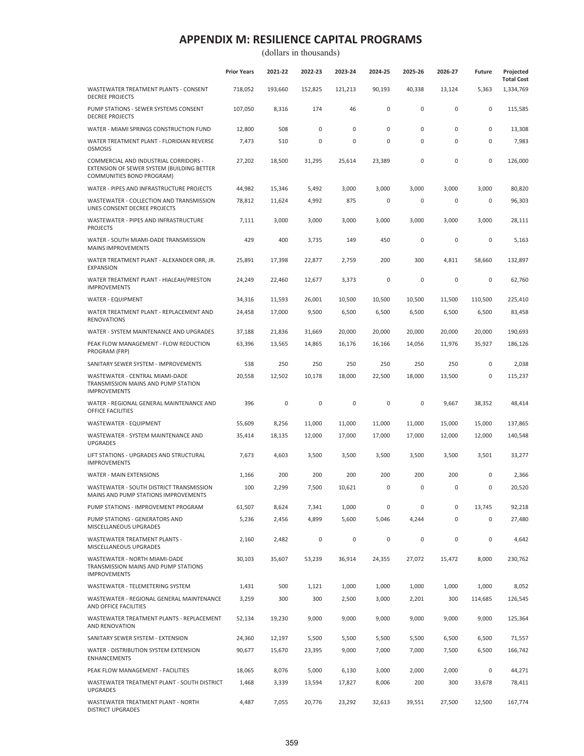|                                                                                                                  | <b>Prior Years</b> | 2021-22 | 2022-23     | 2023-24 | 2024-25      | 2025-26   | 2026-27 | <b>Future</b> | Projected<br><b>Total Cost</b> |
|------------------------------------------------------------------------------------------------------------------|--------------------|---------|-------------|---------|--------------|-----------|---------|---------------|--------------------------------|
| WASTEWATER TREATMENT PLANTS - CONSENT<br><b>DECREE PROJECTS</b>                                                  | 718,052            | 193,660 | 152,825     | 121,213 | 90,193       | 40,338    | 13,124  | 5,363         | 1,334,769                      |
| PUMP STATIONS - SEWER SYSTEMS CONSENT<br><b>DECREE PROJECTS</b>                                                  | 107,050            | 8,316   | 174         | 46      | $\mathbf 0$  | 0         | 0       | 0             | 115,585                        |
| WATER - MIAMI SPRINGS CONSTRUCTION FUND                                                                          | 12,800             | 508     | 0           | 0       | $\mathbf{0}$ | 0         | 0       | 0             | 13,308                         |
| WATER TREATMENT PLANT - FLORIDIAN REVERSE<br><b>OSMOSIS</b>                                                      | 7,473              | 510     | 0           | 0       | $\mathbf 0$  | 0         | 0       | 0             | 7,983                          |
| COMMERCIAL AND INDUSTRIAL CORRIDORS -<br>EXTENSION OF SEWER SYSTEM (BUILDING BETTER<br>COMMUNITIES BOND PROGRAM) | 27,202             | 18,500  | 31,295      | 25,614  | 23,389       | 0         | 0       | 0             | 126,000                        |
| WATER - PIPES AND INFRASTRUCTURE PROJECTS                                                                        | 44,982             | 15,346  | 5,492       | 3,000   | 3,000        | 3,000     | 3,000   | 3,000         | 80,820                         |
| WASTEWATER - COLLECTION AND TRANSMISSION<br>LINES CONSENT DECREE PROJECTS                                        | 78,812             | 11,624  | 4,992       | 875     | 0            | 0         | 0       | 0             | 96,303                         |
| WASTEWATER - PIPES AND INFRASTRUCTURE<br><b>PROJECTS</b>                                                         | 7,111              | 3,000   | 3,000       | 3,000   | 3,000        | 3,000     | 3,000   | 3,000         | 28,111                         |
| WATER - SOUTH MIAMI-DADE TRANSMISSION<br><b>MAINS IMPROVEMENTS</b>                                               | 429                | 400     | 3,735       | 149     | 450          | 0         | 0       | 0             | 5,163                          |
| WATER TREATMENT PLANT - ALEXANDER ORR, JR.<br><b>EXPANSION</b>                                                   | 25,891             | 17,398  | 22,877      | 2,759   | 200          | 300       | 4,811   | 58,660        | 132,897                        |
| WATER TREATMENT PLANT - HIALEAH/PRESTON<br><b>IMPROVEMENTS</b>                                                   | 24,249             | 22,460  | 12,677      | 3,373   | $\pmb{0}$    | $\pmb{0}$ | 0       | 0             | 62,760                         |
| <b>WATER - EQUIPMENT</b>                                                                                         | 34,316             | 11,593  | 26,001      | 10,500  | 10,500       | 10,500    | 11,500  | 110,500       | 225,410                        |
| WATER TREATMENT PLANT - REPLACEMENT AND<br><b>RENOVATIONS</b>                                                    | 24,458             | 17,000  | 9,500       | 6,500   | 6,500        | 6,500     | 6,500   | 6,500         | 83,458                         |
| WATER - SYSTEM MAINTENANCE AND UPGRADES                                                                          | 37,188             | 21,836  | 31,669      | 20,000  | 20,000       | 20,000    | 20,000  | 20,000        | 190,693                        |
| PEAK FLOW MANAGEMENT - FLOW REDUCTION<br>PROGRAM (FRP)                                                           | 63,396             | 13,565  | 14,865      | 16,176  | 16,166       | 14,056    | 11,976  | 35,927        | 186,126                        |
| SANITARY SEWER SYSTEM - IMPROVEMENTS                                                                             | 538                | 250     | 250         | 250     | 250          | 250       | 250     | 0             | 2,038                          |
| WASTEWATER - CENTRAL MIAMI-DADE<br>TRANSMISSION MAINS AND PUMP STATION<br><b>IMPROVEMENTS</b>                    | 20,558             | 12,502  | 10,178      | 18,000  | 22,500       | 18,000    | 13,500  | 0             | 115,237                        |
| WATER - REGIONAL GENERAL MAINTENANCE AND<br>OFFICE FACILITIES                                                    | 396                | 0       | $\bf 0$     | 0       | 0            | 0         | 9,667   | 38,352        | 48,414                         |
| WASTEWATER - EQUIPMENT                                                                                           | 55,609             | 8,256   | 11,000      | 11,000  | 11,000       | 11,000    | 15,000  | 15,000        | 137,865                        |
| WASTEWATER - SYSTEM MAINTENANCE AND<br><b>UPGRADES</b>                                                           | 35,414             | 18,135  | 12,000      | 17,000  | 17,000       | 17,000    | 12,000  | 12,000        | 140,548                        |
| LIFT STATIONS - UPGRADES AND STRUCTURAL<br><b>IMPROVEMENTS</b>                                                   | 7,673              | 4,603   | 3,500       | 3,500   | 3,500        | 3,500     | 3,500   | 3,501         | 33,277                         |
| <b>WATER - MAIN EXTENSIONS</b>                                                                                   | 1,166              | 200     | 200         | 200     | 200          | 200       | 200     | 0             | 2,366                          |
| WASTEWATER - SOUTH DISTRICT TRANSMISSION<br><b>MAINS AND PUMP STATIONS IMPROVEMENTS</b>                          | 100                | 2,299   | 7,500       | 10,621  | 0            | 0         | 0       | 0             | 20,520                         |
| PUMP STATIONS - IMPROVEMENT PROGRAM                                                                              | 61,507             | 8,624   | 7,341       | 1,000   | 0            | 0         | 0       | 13,745        | 92,218                         |
| PUMP STATIONS - GENERATORS AND<br>MISCELLANEOUS UPGRADES                                                         | 5,236              | 2,456   | 4,899       | 5,600   | 5,046        | 4,244     | 0       | 0             | 27,480                         |
| WASTEWATER TREATMENT PLANTS -<br>MISCELLANEOUS UPGRADES                                                          | 2,160              | 2,482   | $\mathsf 0$ | $\bf 0$ | $\pmb{0}$    | $\pmb{0}$ | 0       | $\mathbf 0$   | 4,642                          |
| WASTEWATER - NORTH MIAMI-DADE<br>TRANSMISSION MAINS AND PUMP STATIONS<br><b>IMPROVEMENTS</b>                     | 30,103             | 35,607  | 53,239      | 36,914  | 24,355       | 27,072    | 15,472  | 8,000         | 230,762                        |
| WASTEWATER - TELEMETERING SYSTEM                                                                                 | 1,431              | 500     | 1,121       | 1,000   | 1,000        | 1,000     | 1,000   | 1,000         | 8,052                          |
| WASTEWATER - REGIONAL GENERAL MAINTENANCE<br>AND OFFICE FACILITIES                                               | 3,259              | 300     | 300         | 2,500   | 3,000        | 2,201     | 300     | 114,685       | 126,545                        |
| WASTEWATER TREATMENT PLANTS - REPLACEMENT<br>AND RENOVATION                                                      | 52,134             | 19,230  | 9,000       | 9,000   | 9,000        | 9,000     | 9,000   | 9,000         | 125,364                        |
| SANITARY SEWER SYSTEM - EXTENSION                                                                                | 24,360             | 12,197  | 5,500       | 5,500   | 5,500        | 5,500     | 6,500   | 6,500         | 71,557                         |
| WATER - DISTRIBUTION SYSTEM EXTENSION<br><b>ENHANCEMENTS</b>                                                     | 90,677             | 15,670  | 23,395      | 9,000   | 7,000        | 7,000     | 7,500   | 6,500         | 166,742                        |
| PEAK FLOW MANAGEMENT - FACILITIES                                                                                | 18,065             | 8,076   | 5,000       | 6,130   | 3,000        | 2,000     | 2,000   | 0             | 44,271                         |
| WASTEWATER TREATMENT PLANT - SOUTH DISTRICT<br><b>UPGRADES</b>                                                   | 1,468              | 3,339   | 13,594      | 17,827  | 8,006        | 200       | 300     | 33,678        | 78,411                         |
| WASTEWATER TREATMENT PLANT - NORTH<br><b>DISTRICT UPGRADES</b>                                                   | 4,487              | 7,055   | 20,776      | 23,292  | 32,613       | 39,551    | 27,500  | 12,500        | 167,774                        |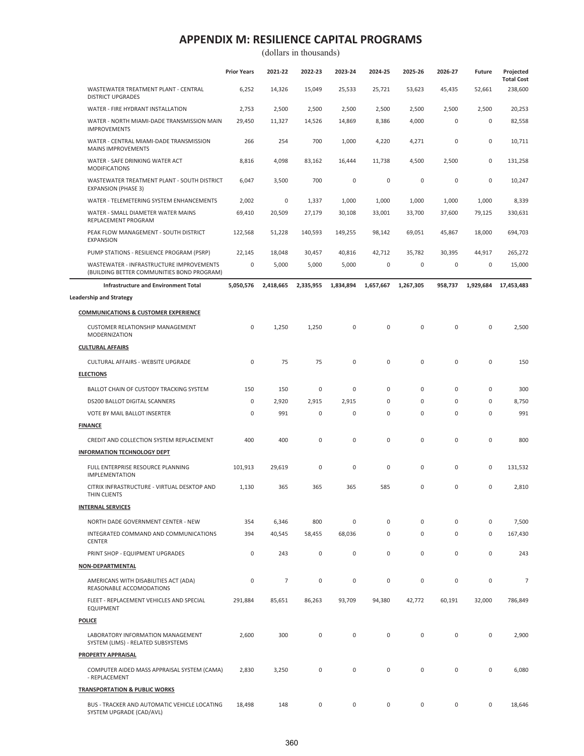|                                                                                        | <b>Prior Years</b>  | 2021-22         | 2022-23     | 2023-24     | 2024-25     | 2025-26     | 2026-27   | <b>Future</b>       | Projected                    |
|----------------------------------------------------------------------------------------|---------------------|-----------------|-------------|-------------|-------------|-------------|-----------|---------------------|------------------------------|
| WASTEWATER TREATMENT PLANT - CENTRAL<br><b>DISTRICT UPGRADES</b>                       | 6,252               | 14,326          | 15,049      | 25,533      | 25,721      | 53,623      | 45,435    | 52,661              | <b>Total Cost</b><br>238,600 |
| WATER - FIRE HYDRANT INSTALLATION                                                      | 2,753               | 2,500           | 2,500       | 2,500       | 2,500       | 2,500       | 2,500     | 2,500               | 20,253                       |
| WATER - NORTH MIAMI-DADE TRANSMISSION MAIN<br><b>IMPROVEMENTS</b>                      | 29,450              | 11,327          | 14,526      | 14,869      | 8,386       | 4,000       | 0         | 0                   | 82,558                       |
| WATER - CENTRAL MIAMI-DADE TRANSMISSION<br><b>MAINS IMPROVEMENTS</b>                   | 266                 | 254             | 700         | 1,000       | 4,220       | 4,271       | 0         | 0                   | 10,711                       |
| WATER - SAFE DRINKING WATER ACT<br><b>MODIFICATIONS</b>                                | 8,816               | 4,098           | 83,162      | 16,444      | 11,738      | 4,500       | 2,500     | 0                   | 131,258                      |
| WASTEWATER TREATMENT PLANT - SOUTH DISTRICT<br><b>EXPANSION (PHASE 3)</b>              | 6,047               | 3,500           | 700         | 0           | 0           | $\pmb{0}$   | 0         | $\mathsf{O}\xspace$ | 10,247                       |
| WATER - TELEMETERING SYSTEM ENHANCEMENTS                                               | 2,002               | $\mathsf 0$     | 1,337       | 1,000       | 1,000       | 1,000       | 1,000     | 1,000               | 8,339                        |
| WATER - SMALL DIAMETER WATER MAINS<br>REPLACEMENT PROGRAM                              | 69,410              | 20,509          | 27,179      | 30,108      | 33,001      | 33,700      | 37,600    | 79,125              | 330,631                      |
| PEAK FLOW MANAGEMENT - SOUTH DISTRICT<br><b>EXPANSION</b>                              | 122,568             | 51,228          | 140,593     | 149,255     | 98,142      | 69,051      | 45,867    | 18,000              | 694,703                      |
| PUMP STATIONS - RESILIENCE PROGRAM (PSRP)                                              | 22,145              | 18,048          | 30,457      | 40,816      | 42,712      | 35,782      | 30,395    | 44,917              | 265,272                      |
| WASTEWATER - INFRASTRUCTURE IMPROVEMENTS<br>(BUILDING BETTER COMMUNITIES BOND PROGRAM) | 0                   | 5,000           | 5,000       | 5,000       | $\mathsf 0$ | $\mathsf 0$ | 0         | 0                   | 15,000                       |
| Infrastructure and Environment Total                                                   | 5,050,576           | 2,418,665       | 2,335,955   | 1,834,894   | 1,657,667   | 1,267,305   | 958,737   | 1,929,684           | 17,453,483                   |
| <b>Leadership and Strategy</b>                                                         |                     |                 |             |             |             |             |           |                     |                              |
| <b>COMMUNICATIONS &amp; CUSTOMER EXPERIENCE</b>                                        |                     |                 |             |             |             |             |           |                     |                              |
| <b>CUSTOMER RELATIONSHIP MANAGEMENT</b><br><b>MODERNIZATION</b>                        | 0                   | 1,250           | 1,250       | 0           | $\mathbf 0$ | $\mathsf 0$ | $\pmb{0}$ | $\mathsf{O}\xspace$ | 2,500                        |
| <b>CULTURAL AFFAIRS</b>                                                                |                     |                 |             |             |             |             |           |                     |                              |
| CULTURAL AFFAIRS - WEBSITE UPGRADE                                                     | 0                   | 75              | 75          | $\mathsf 0$ | $\pmb{0}$   | $\mathsf 0$ | 0         | $\mathsf 0$         | 150                          |
| <b>ELECTIONS</b>                                                                       |                     |                 |             |             |             |             |           |                     |                              |
| BALLOT CHAIN OF CUSTODY TRACKING SYSTEM                                                | 150                 | 150             | $\bf 0$     | $\mathsf 0$ | $\mathsf 0$ | $\mathsf 0$ | 0         | $\mathsf 0$         | 300                          |
| DS200 BALLOT DIGITAL SCANNERS                                                          | 0                   | 2,920           | 2,915       | 2,915       | 0           | $\mathbf 0$ | 0         | 0                   | 8,750                        |
| VOTE BY MAIL BALLOT INSERTER                                                           | 0                   | 991             | $\mathsf 0$ | $\mathsf 0$ | $\mathbf 0$ | $\mathsf 0$ | $\pmb{0}$ | $\mathsf 0$         | 991                          |
| <b>FINANCE</b>                                                                         |                     |                 |             |             |             |             |           |                     |                              |
| CREDIT AND COLLECTION SYSTEM REPLACEMENT                                               | 400                 | 400             | $\mathbf 0$ | $\mathsf 0$ | $\mathsf 0$ | $\mathsf 0$ | $\pmb{0}$ | $\mathsf{O}\xspace$ | 800                          |
| <b>INFORMATION TECHNOLOGY DEPT</b>                                                     |                     |                 |             |             |             |             |           |                     |                              |
| FULL ENTERPRISE RESOURCE PLANNING<br><b>IMPLEMENTATION</b>                             | 101,913             | 29,619          | 0           | 0           | 0           | $\mathsf 0$ | 0         | $\mathsf 0$         | 131,532                      |
| CITRIX INFRASTRUCTURE - VIRTUAL DESKTOP AND<br>THIN CLIENTS                            | 1,130               | 365             | 365         | 365         | 585         | $\pmb{0}$   | 0         | 0                   | 2,810                        |
| <b>INTERNAL SERVICES</b>                                                               |                     |                 |             |             |             |             |           |                     |                              |
| NORTH DADE GOVERNMENT CENTER - NEW                                                     | 354                 |                 | 800         | $\mathsf 0$ | 0           | $\pmb{0}$   | 0         | $\mathsf{O}\xspace$ | 7,500                        |
| INTEGRATED COMMAND AND COMMUNICATIONS<br><b>CENTER</b>                                 | 394                 | 6,346<br>40,545 | 58,455      | 68,036      | 0           | $\mathsf 0$ | 0         | 0                   | 167,430                      |
| PRINT SHOP - EQUIPMENT UPGRADES                                                        | $\mathsf{O}\xspace$ | 243             | $\mathsf 0$ | $\mathsf 0$ | $\mathsf 0$ | $\mathsf 0$ | 0         | 0                   | 243                          |
| NON-DEPARTMENTAL                                                                       |                     |                 |             |             |             |             |           |                     |                              |
| AMERICANS WITH DISABILITIES ACT (ADA)<br>REASONABLE ACCOMODATIONS                      | 0                   | $\overline{7}$  | $\pmb{0}$   | $\mathsf 0$ | 0           | $\mathsf 0$ | 0         | $\mathsf{O}\xspace$ | 7                            |
| FLEET - REPLACEMENT VEHICLES AND SPECIAL<br><b>EQUIPMENT</b>                           | 291,884             | 85,651          | 86,263      | 93,709      | 94,380      | 42,772      | 60,191    | 32,000              | 786,849                      |
| <b>POLICE</b>                                                                          |                     |                 |             |             |             |             |           |                     |                              |
| LABORATORY INFORMATION MANAGEMENT                                                      | 2,600               | 300             | $\mathsf 0$ | $\pmb{0}$   | $\mathsf 0$ | $\pmb{0}$   | 0         | $\mathsf{O}\xspace$ | 2,900                        |
| SYSTEM (LIMS) - RELATED SUBSYSTEMS<br><b>PROPERTY APPRAISAL</b>                        |                     |                 |             |             |             |             |           |                     |                              |
| COMPUTER AIDED MASS APPRAISAL SYSTEM (CAMA)                                            | 2,830               | 3,250           | $\mathsf 0$ | $\mathsf 0$ | $\mathsf 0$ | $\mathsf 0$ | 0         | $\mathsf{O}\xspace$ | 6,080                        |
| - REPLACEMENT<br><b>TRANSPORTATION &amp; PUBLIC WORKS</b>                              |                     |                 |             |             |             |             |           |                     |                              |
| BUS - TRACKER AND AUTOMATIC VEHICLE LOCATING<br>SYSTEM UPGRADE (CAD/AVL)               | 18,498              | 148             | 0           | 0           | 0           | 0           | 0         | 0                   | 18,646                       |